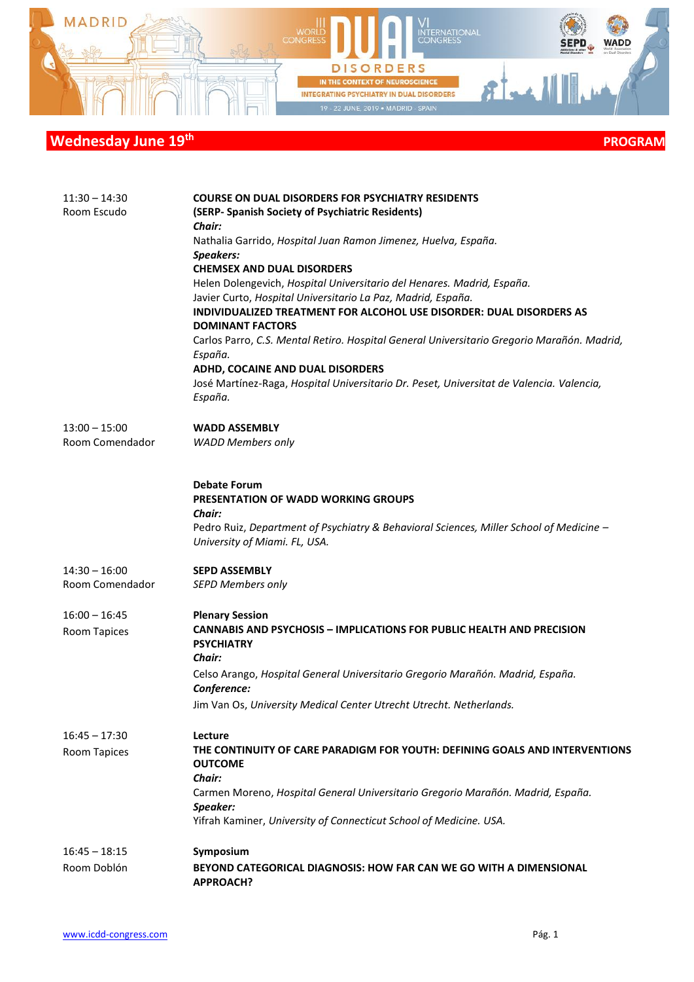

| $11:30 - 14:30$<br>Room Escudo     | <b>COURSE ON DUAL DISORDERS FOR PSYCHIATRY RESIDENTS</b><br>(SERP- Spanish Society of Psychiatric Residents)<br><b>Chair:</b><br>Nathalia Garrido, Hospital Juan Ramon Jimenez, Huelva, España.<br><b>Speakers:</b><br><b>CHEMSEX AND DUAL DISORDERS</b><br>Helen Dolengevich, Hospital Universitario del Henares. Madrid, España.<br>Javier Curto, Hospital Universitario La Paz, Madrid, España.<br>INDIVIDUALIZED TREATMENT FOR ALCOHOL USE DISORDER: DUAL DISORDERS AS<br><b>DOMINANT FACTORS</b><br>Carlos Parro, C.S. Mental Retiro. Hospital General Universitario Gregorio Marañón. Madrid,<br>España.<br>ADHD, COCAINE AND DUAL DISORDERS<br>José Martínez-Raga, Hospital Universitario Dr. Peset, Universitat de Valencia. Valencia,<br>España. |
|------------------------------------|-----------------------------------------------------------------------------------------------------------------------------------------------------------------------------------------------------------------------------------------------------------------------------------------------------------------------------------------------------------------------------------------------------------------------------------------------------------------------------------------------------------------------------------------------------------------------------------------------------------------------------------------------------------------------------------------------------------------------------------------------------------|
| $13:00 - 15:00$<br>Room Comendador | <b>WADD ASSEMBLY</b><br><b>WADD Members only</b>                                                                                                                                                                                                                                                                                                                                                                                                                                                                                                                                                                                                                                                                                                          |
|                                    | <b>Debate Forum</b><br><b>PRESENTATION OF WADD WORKING GROUPS</b><br><b>Chair:</b><br>Pedro Ruiz, Department of Psychiatry & Behavioral Sciences, Miller School of Medicine -<br>University of Miami. FL, USA.                                                                                                                                                                                                                                                                                                                                                                                                                                                                                                                                            |
| $14:30 - 16:00$<br>Room Comendador | <b>SEPD ASSEMBLY</b><br><b>SEPD Members only</b>                                                                                                                                                                                                                                                                                                                                                                                                                                                                                                                                                                                                                                                                                                          |
| $16:00 - 16:45$<br>Room Tapices    | <b>Plenary Session</b><br><b>CANNABIS AND PSYCHOSIS - IMPLICATIONS FOR PUBLIC HEALTH AND PRECISION</b><br><b>PSYCHIATRY</b><br>Chair:<br>Celso Arango, Hospital General Universitario Gregorio Marañón. Madrid, España.<br>Conference:<br>Jim Van Os, University Medical Center Utrecht Utrecht. Netherlands.                                                                                                                                                                                                                                                                                                                                                                                                                                             |
| $16:45 - 17:30$<br>Room Tapices    | Lecture<br>THE CONTINUITY OF CARE PARADIGM FOR YOUTH: DEFINING GOALS AND INTERVENTIONS<br><b>OUTCOME</b><br>Chair:<br>Carmen Moreno, Hospital General Universitario Gregorio Marañón. Madrid, España.<br>Speaker:<br>Yifrah Kaminer, University of Connecticut School of Medicine. USA.                                                                                                                                                                                                                                                                                                                                                                                                                                                                   |
| $16:45 - 18:15$<br>Room Doblón     | Symposium<br>BEYOND CATEGORICAL DIAGNOSIS: HOW FAR CAN WE GO WITH A DIMENSIONAL<br><b>APPROACH?</b>                                                                                                                                                                                                                                                                                                                                                                                                                                                                                                                                                                                                                                                       |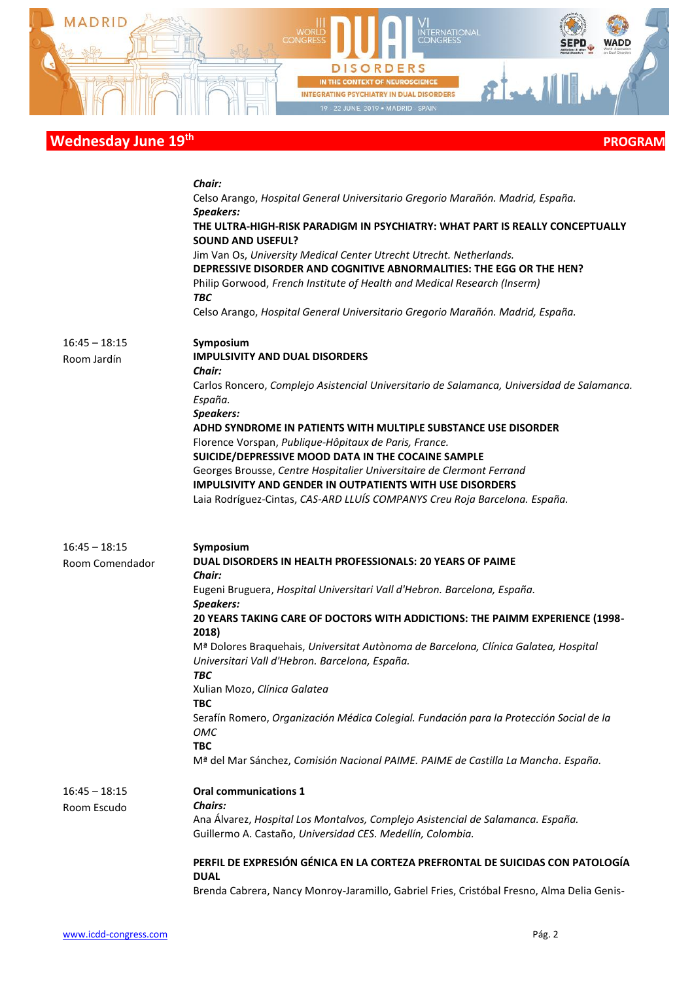

|                                    | Chair:                                                                                                                                                                                                                                                                                                                                                                                                                                                                              |
|------------------------------------|-------------------------------------------------------------------------------------------------------------------------------------------------------------------------------------------------------------------------------------------------------------------------------------------------------------------------------------------------------------------------------------------------------------------------------------------------------------------------------------|
|                                    | Celso Arango, Hospital General Universitario Gregorio Marañón. Madrid, España.                                                                                                                                                                                                                                                                                                                                                                                                      |
|                                    | Speakers:                                                                                                                                                                                                                                                                                                                                                                                                                                                                           |
|                                    | THE ULTRA-HIGH-RISK PARADIGM IN PSYCHIATRY: WHAT PART IS REALLY CONCEPTUALLY<br><b>SOUND AND USEFUL?</b>                                                                                                                                                                                                                                                                                                                                                                            |
|                                    | Jim Van Os, University Medical Center Utrecht Utrecht. Netherlands.                                                                                                                                                                                                                                                                                                                                                                                                                 |
|                                    | DEPRESSIVE DISORDER AND COGNITIVE ABNORMALITIES: THE EGG OR THE HEN?                                                                                                                                                                                                                                                                                                                                                                                                                |
|                                    | Philip Gorwood, French Institute of Health and Medical Research (Inserm)                                                                                                                                                                                                                                                                                                                                                                                                            |
|                                    | <b>TBC</b>                                                                                                                                                                                                                                                                                                                                                                                                                                                                          |
|                                    | Celso Arango, Hospital General Universitario Gregorio Marañón. Madrid, España.                                                                                                                                                                                                                                                                                                                                                                                                      |
|                                    |                                                                                                                                                                                                                                                                                                                                                                                                                                                                                     |
| $16:45 - 18:15$                    | Symposium                                                                                                                                                                                                                                                                                                                                                                                                                                                                           |
| Room Jardín                        | <b>IMPULSIVITY AND DUAL DISORDERS</b>                                                                                                                                                                                                                                                                                                                                                                                                                                               |
|                                    | <b>Chair:</b>                                                                                                                                                                                                                                                                                                                                                                                                                                                                       |
|                                    | Carlos Roncero, Complejo Asistencial Universitario de Salamanca, Universidad de Salamanca.                                                                                                                                                                                                                                                                                                                                                                                          |
|                                    | España.                                                                                                                                                                                                                                                                                                                                                                                                                                                                             |
|                                    | <b>Speakers:</b>                                                                                                                                                                                                                                                                                                                                                                                                                                                                    |
|                                    | ADHD SYNDROME IN PATIENTS WITH MULTIPLE SUBSTANCE USE DISORDER                                                                                                                                                                                                                                                                                                                                                                                                                      |
|                                    | Florence Vorspan, Publique-Hôpitaux de Paris, France.                                                                                                                                                                                                                                                                                                                                                                                                                               |
|                                    | SUICIDE/DEPRESSIVE MOOD DATA IN THE COCAINE SAMPLE                                                                                                                                                                                                                                                                                                                                                                                                                                  |
|                                    | Georges Brousse, Centre Hospitalier Universitaire de Clermont Ferrand                                                                                                                                                                                                                                                                                                                                                                                                               |
|                                    | <b>IMPULSIVITY AND GENDER IN OUTPATIENTS WITH USE DISORDERS</b>                                                                                                                                                                                                                                                                                                                                                                                                                     |
|                                    | Laia Rodríguez-Cintas, CAS-ARD LLUÍS COMPANYS Creu Roja Barcelona. España.                                                                                                                                                                                                                                                                                                                                                                                                          |
|                                    |                                                                                                                                                                                                                                                                                                                                                                                                                                                                                     |
| $16:45 - 18:15$<br>Room Comendador | Symposium<br>DUAL DISORDERS IN HEALTH PROFESSIONALS: 20 YEARS OF PAIME<br>Chair:<br>Eugeni Bruguera, Hospital Universitari Vall d'Hebron. Barcelona, España.<br>Speakers:<br>20 YEARS TAKING CARE OF DOCTORS WITH ADDICTIONS: THE PAIMM EXPERIENCE (1998-<br>2018)<br>M <sup>a</sup> Dolores Braquehais, Universitat Autònoma de Barcelona, Clínica Galatea, Hospital<br>Universitari Vall d'Hebron. Barcelona, España.<br><b>TBC</b><br>Xulian Mozo, Clínica Galatea<br><b>TBC</b> |
|                                    | Serafín Romero, Organización Médica Colegial. Fundación para la Protección Social de la                                                                                                                                                                                                                                                                                                                                                                                             |
|                                    | ОМС                                                                                                                                                                                                                                                                                                                                                                                                                                                                                 |
|                                    | <b>TBC</b>                                                                                                                                                                                                                                                                                                                                                                                                                                                                          |
|                                    | M <sup>a</sup> del Mar Sánchez, Comisión Nacional PAIME. PAIME de Castilla La Mancha. España.                                                                                                                                                                                                                                                                                                                                                                                       |
| $16:45 - 18:15$<br>Room Escudo     | <b>Oral communications 1</b><br><b>Chairs:</b><br>Ana Álvarez, Hospital Los Montalvos, Complejo Asistencial de Salamanca. España.                                                                                                                                                                                                                                                                                                                                                   |
|                                    | Guillermo A. Castaño, Universidad CES. Medellín, Colombia.                                                                                                                                                                                                                                                                                                                                                                                                                          |
|                                    | PERFIL DE EXPRESIÓN GÉNICA EN LA CORTEZA PREFRONTAL DE SUICIDAS CON PATOLOGÍA                                                                                                                                                                                                                                                                                                                                                                                                       |
|                                    | <b>DUAL</b><br>Brenda Cabrera, Nancy Monroy-Jaramillo, Gabriel Fries, Cristóbal Fresno, Alma Delia Genis-                                                                                                                                                                                                                                                                                                                                                                           |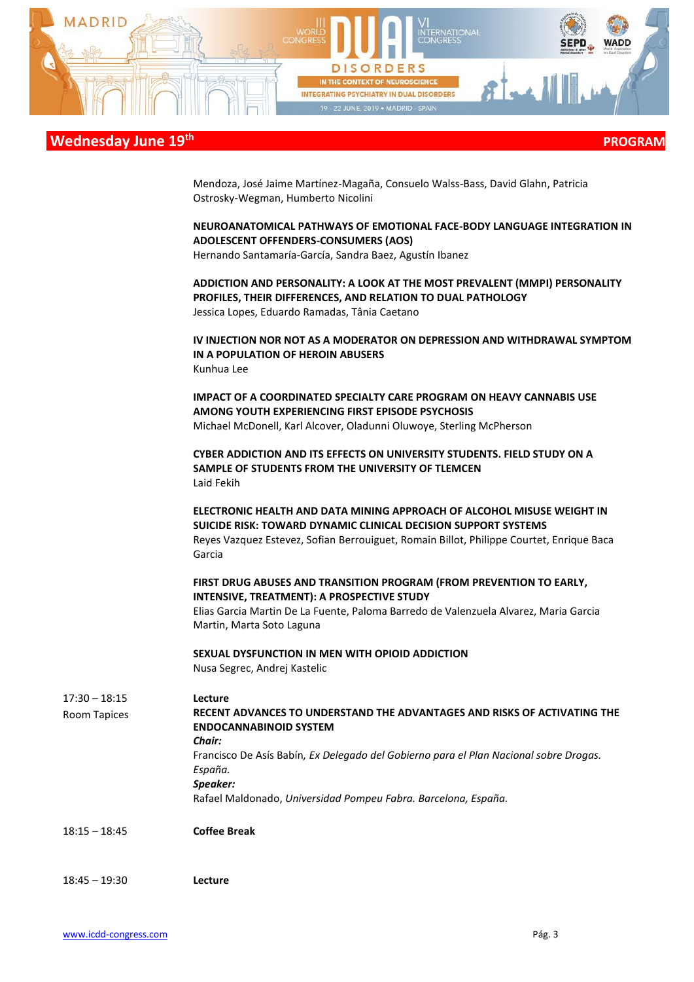

Mendoza, José Jaime Martínez-Magaña, Consuelo Walss-Bass, David Glahn, Patricia Ostrosky-Wegman, Humberto Nicolini

#### **NEUROANATOMICAL PATHWAYS OF EMOTIONAL FACE-BODY LANGUAGE INTEGRATION IN ADOLESCENT OFFENDERS-CONSUMERS (AOS)**

Hernando Santamaría-García, Sandra Baez, Agustín Ibanez

**ADDICTION AND PERSONALITY: A LOOK AT THE MOST PREVALENT (MMPI) PERSONALITY PROFILES, THEIR DIFFERENCES, AND RELATION TO DUAL PATHOLOGY** Jessica Lopes, Eduardo Ramadas, Tânia Caetano

**IV INJECTION NOR NOT AS A MODERATOR ON DEPRESSION AND WITHDRAWAL SYMPTOM IN A POPULATION OF HEROIN ABUSERS** Kunhua Lee

**IMPACT OF A COORDINATED SPECIALTY CARE PROGRAM ON HEAVY CANNABIS USE AMONG YOUTH EXPERIENCING FIRST EPISODE PSYCHOSIS** Michael McDonell, Karl Alcover, Oladunni Oluwoye, Sterling McPherson

**CYBER ADDICTION AND ITS EFFECTS ON UNIVERSITY STUDENTS. FIELD STUDY ON A SAMPLE OF STUDENTS FROM THE UNIVERSITY OF TLEMCEN** Laid Fekih

**ELECTRONIC HEALTH AND DATA MINING APPROACH OF ALCOHOL MISUSE WEIGHT IN SUICIDE RISK: TOWARD DYNAMIC CLINICAL DECISION SUPPORT SYSTEMS**

Reyes Vazquez Estevez, Sofian Berrouiguet, Romain Billot, Philippe Courtet, Enrique Baca Garcia

#### **FIRST DRUG ABUSES AND TRANSITION PROGRAM (FROM PREVENTION TO EARLY, INTENSIVE, TREATMENT): A PROSPECTIVE STUDY**

Elias Garcia Martin De La Fuente, Paloma Barredo de Valenzuela Alvarez, Maria Garcia Martin, Marta Soto Laguna

#### **SEXUAL DYSFUNCTION IN MEN WITH OPIOID ADDICTION** Nusa Segrec, Andrej Kastelic

17:30 – 18:15 Room Tapices **Lecture RECENT ADVANCES TO UNDERSTAND THE ADVANTAGES AND RISKS OF ACTIVATING THE ENDOCANNABINOID SYSTEM** *Chair:* Francisco De Asís Babín*, Ex Delegado del Gobierno para el Plan Nacional sobre Drogas. España. Speaker:*  Rafael Maldonado, *Universidad Pompeu Fabra. Barcelona, España.*  18:15 – 18:45 **Coffee Break**

18:45 – 19:30 **Lecture**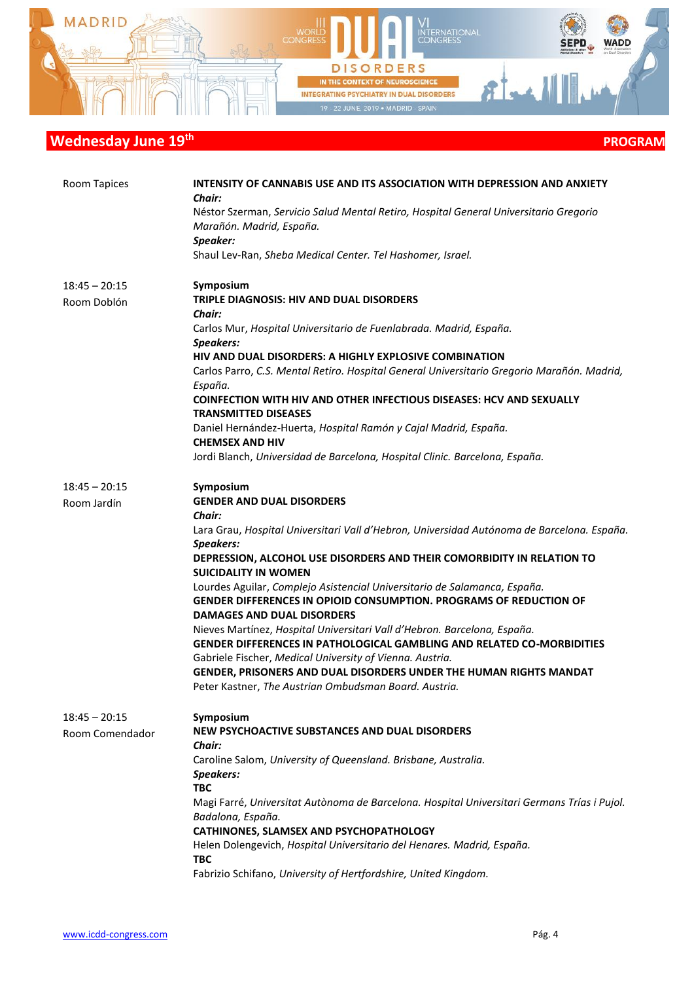

| Room Tapices    | INTENSITY OF CANNABIS USE AND ITS ASSOCIATION WITH DEPRESSION AND ANXIETY<br>Chair:                                                                                                         |
|-----------------|---------------------------------------------------------------------------------------------------------------------------------------------------------------------------------------------|
|                 | Néstor Szerman, Servicio Salud Mental Retiro, Hospital General Universitario Gregorio<br>Marañón. Madrid, España.<br>Speaker:                                                               |
|                 | Shaul Lev-Ran, Sheba Medical Center. Tel Hashomer, Israel.                                                                                                                                  |
| $18:45 - 20:15$ | Symposium<br>TRIPLE DIAGNOSIS: HIV AND DUAL DISORDERS                                                                                                                                       |
| Room Doblón     | Chair:                                                                                                                                                                                      |
|                 | Carlos Mur, Hospital Universitario de Fuenlabrada. Madrid, España.<br>Speakers:                                                                                                             |
|                 | HIV AND DUAL DISORDERS: A HIGHLY EXPLOSIVE COMBINATION                                                                                                                                      |
|                 | Carlos Parro, C.S. Mental Retiro. Hospital General Universitario Gregorio Marañón. Madrid,<br>España.                                                                                       |
|                 | <b>COINFECTION WITH HIV AND OTHER INFECTIOUS DISEASES: HCV AND SEXUALLY</b><br><b>TRANSMITTED DISEASES</b>                                                                                  |
|                 | Daniel Hernández-Huerta, Hospital Ramón y Cajal Madrid, España.<br><b>CHEMSEX AND HIV</b>                                                                                                   |
|                 | Jordi Blanch, Universidad de Barcelona, Hospital Clinic. Barcelona, España.                                                                                                                 |
| $18:45 - 20:15$ | Symposium                                                                                                                                                                                   |
| Room Jardín     | <b>GENDER AND DUAL DISORDERS</b><br>Chair:                                                                                                                                                  |
|                 | Lara Grau, Hospital Universitari Vall d'Hebron, Universidad Autónoma de Barcelona. España.<br><b>Speakers:</b>                                                                              |
|                 | DEPRESSION, ALCOHOL USE DISORDERS AND THEIR COMORBIDITY IN RELATION TO<br><b>SUICIDALITY IN WOMEN</b>                                                                                       |
|                 | Lourdes Aguilar, Complejo Asistencial Universitario de Salamanca, España.<br><b>GENDER DIFFERENCES IN OPIOID CONSUMPTION. PROGRAMS OF REDUCTION OF</b><br><b>DAMAGES AND DUAL DISORDERS</b> |
|                 | Nieves Martínez, Hospital Universitari Vall d'Hebron. Barcelona, España.<br><b>GENDER DIFFERENCES IN PATHOLOGICAL GAMBLING AND RELATED CO-MORBIDITIES</b>                                   |
|                 | Gabriele Fischer, Medical University of Vienna. Austria.                                                                                                                                    |
|                 | GENDER, PRISONERS AND DUAL DISORDERS UNDER THE HUMAN RIGHTS MANDAT<br>Peter Kastner, The Austrian Ombudsman Board. Austria.                                                                 |
| $18:45 - 20:15$ | Symposium                                                                                                                                                                                   |
| Room Comendador | NEW PSYCHOACTIVE SUBSTANCES AND DUAL DISORDERS<br>Chair:                                                                                                                                    |
|                 | Caroline Salom, University of Queensland. Brisbane, Australia.                                                                                                                              |
|                 | Speakers:<br><b>TBC</b>                                                                                                                                                                     |
|                 | Magi Farré, Universitat Autònoma de Barcelona. Hospital Universitari Germans Trías i Pujol.<br>Badalona, España.                                                                            |
|                 | CATHINONES, SLAMSEX AND PSYCHOPATHOLOGY                                                                                                                                                     |
|                 | Helen Dolengevich, Hospital Universitario del Henares. Madrid, España.<br><b>TBC</b>                                                                                                        |
|                 | Fabrizio Schifano, University of Hertfordshire, United Kingdom.                                                                                                                             |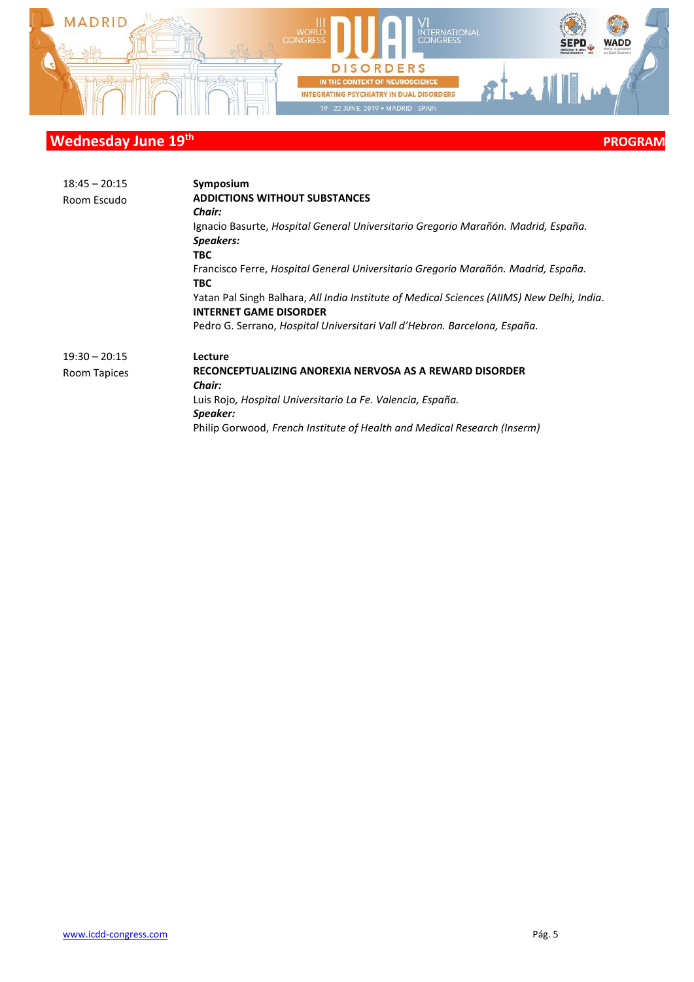

| $18:45 - 20:15$ | Symposium                                                                                  |
|-----------------|--------------------------------------------------------------------------------------------|
| Room Escudo     | <b>ADDICTIONS WITHOUT SUBSTANCES</b>                                                       |
|                 | <b>Chair:</b>                                                                              |
|                 | Ignacio Basurte, Hospital General Universitario Gregorio Marañón. Madrid, España.          |
|                 | Speakers:                                                                                  |
|                 | TBC.                                                                                       |
|                 | Francisco Ferre, Hospital General Universitario Gregorio Marañón. Madrid, España.          |
|                 | TBC.                                                                                       |
|                 | Yatan Pal Singh Balhara, All India Institute of Medical Sciences (AIIMS) New Delhi, India. |
|                 | <b>INTERNET GAME DISORDER</b>                                                              |
|                 | Pedro G. Serrano, Hospital Universitari Vall d'Hebron. Barcelona, España.                  |
| $19:30 - 20:15$ | Lecture                                                                                    |
| Room Tapices    | RECONCEPTUALIZING ANOREXIA NERVOSA AS A REWARD DISORDER                                    |
|                 | Chair:                                                                                     |
|                 | Luis Rojo, Hospital Universitario La Fe. Valencia, España.                                 |
|                 | Speaker:                                                                                   |
|                 | Philip Gorwood, French Institute of Health and Medical Research (Inserm)                   |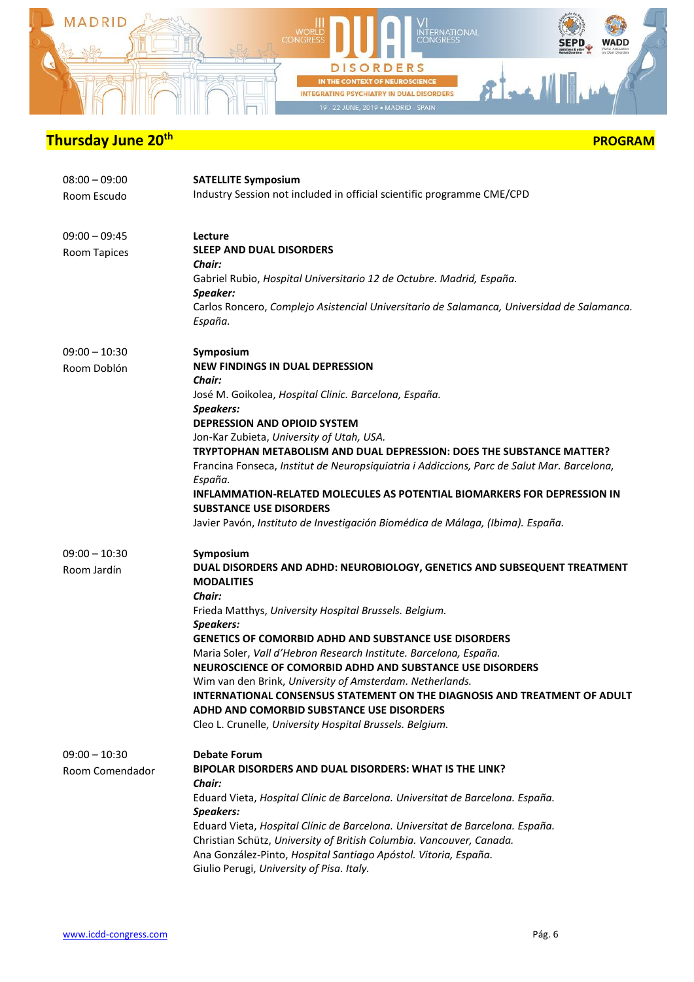

| $08:00 - 09:00$<br>Room Escudo     | <b>SATELLITE Symposium</b><br>Industry Session not included in official scientific programme CME/CPD                                                                                                                                                                                                                                                                                                                                                                                                                                                                                                                                                   |
|------------------------------------|--------------------------------------------------------------------------------------------------------------------------------------------------------------------------------------------------------------------------------------------------------------------------------------------------------------------------------------------------------------------------------------------------------------------------------------------------------------------------------------------------------------------------------------------------------------------------------------------------------------------------------------------------------|
| $09:00 - 09:45$<br>Room Tapices    | Lecture<br><b>SLEEP AND DUAL DISORDERS</b><br>Chair:<br>Gabriel Rubio, Hospital Universitario 12 de Octubre. Madrid, España.<br>Speaker:<br>Carlos Roncero, Complejo Asistencial Universitario de Salamanca, Universidad de Salamanca.<br>España.                                                                                                                                                                                                                                                                                                                                                                                                      |
| $09:00 - 10:30$<br>Room Doblón     | Symposium<br><b>NEW FINDINGS IN DUAL DEPRESSION</b><br><b>Chair:</b><br>José M. Goikolea, Hospital Clinic. Barcelona, España.<br><b>Speakers:</b><br><b>DEPRESSION AND OPIOID SYSTEM</b><br>Jon-Kar Zubieta, University of Utah, USA.<br>TRYPTOPHAN METABOLISM AND DUAL DEPRESSION: DOES THE SUBSTANCE MATTER?<br>Francina Fonseca, Institut de Neuropsiquiatria i Addiccions, Parc de Salut Mar. Barcelona,<br>España.<br>INFLAMMATION-RELATED MOLECULES AS POTENTIAL BIOMARKERS FOR DEPRESSION IN<br><b>SUBSTANCE USE DISORDERS</b><br>Javier Pavón, Instituto de Investigación Biomédica de Málaga, (Ibima). España.                                |
| $09:00 - 10:30$<br>Room Jardín     | Symposium<br>DUAL DISORDERS AND ADHD: NEUROBIOLOGY, GENETICS AND SUBSEQUENT TREATMENT<br><b>MODALITIES</b><br>Chair:<br>Frieda Matthys, University Hospital Brussels. Belgium.<br><b>Speakers:</b><br><b>GENETICS OF COMORBID ADHD AND SUBSTANCE USE DISORDERS</b><br>Maria Soler, Vall d'Hebron Research Institute. Barcelona, España.<br>NEUROSCIENCE OF COMORBID ADHD AND SUBSTANCE USE DISORDERS<br>Wim van den Brink, University of Amsterdam. Netherlands.<br>INTERNATIONAL CONSENSUS STATEMENT ON THE DIAGNOSIS AND TREATMENT OF ADULT<br>ADHD AND COMORBID SUBSTANCE USE DISORDERS<br>Cleo L. Crunelle, University Hospital Brussels. Belgium. |
| $09:00 - 10:30$<br>Room Comendador | <b>Debate Forum</b><br>BIPOLAR DISORDERS AND DUAL DISORDERS: WHAT IS THE LINK?<br>Chair:<br>Eduard Vieta, Hospital Clínic de Barcelona. Universitat de Barcelona. España.<br>Speakers:<br>Eduard Vieta, Hospital Clínic de Barcelona. Universitat de Barcelona. España.<br>Christian Schütz, University of British Columbia. Vancouver, Canada.<br>Ana González-Pinto, Hospital Santiago Apóstol. Vitoria, España.<br>Giulio Perugi, University of Pisa. Italy.                                                                                                                                                                                        |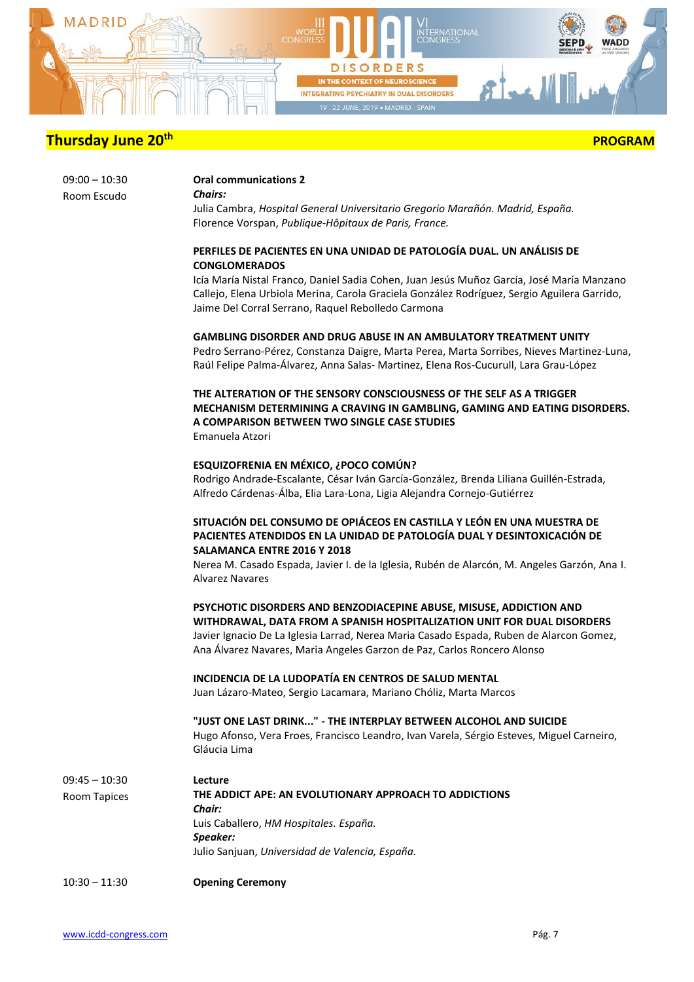

| $09:00 - 10:30$ |  |
|-----------------|--|
| Room Escudo     |  |

**Oral communications 2** *Chairs:*

Julia Cambra, *Hospital General Universitario Gregorio Marañón. Madrid, España.* Florence Vorspan, *Publique-Hôpitaux de Paris, France.*

#### **PERFILES DE PACIENTES EN UNA UNIDAD DE PATOLOGÍA DUAL. UN ANÁLISIS DE CONGLOMERADOS**

Icía María Nistal Franco, Daniel Sadia Cohen, Juan Jesús Muñoz García, José María Manzano Callejo, Elena Urbiola Merina, Carola Graciela González Rodríguez, Sergio Aguilera Garrido, Jaime Del Corral Serrano, Raquel Rebolledo Carmona

#### **GAMBLING DISORDER AND DRUG ABUSE IN AN AMBULATORY TREATMENT UNITY**

Pedro Serrano-Pérez, Constanza Daigre, Marta Perea, Marta Sorribes, Nieves Martinez-Luna, Raúl Felipe Palma-Álvarez, Anna Salas- Martinez, Elena Ros-Cucurull, Lara Grau-López

#### **THE ALTERATION OF THE SENSORY CONSCIOUSNESS OF THE SELF AS A TRIGGER MECHANISM DETERMINING A CRAVING IN GAMBLING, GAMING AND EATING DISORDERS. A COMPARISON BETWEEN TWO SINGLE CASE STUDIES** Emanuela Atzori

### **ESQUIZOFRENIA EN MÉXICO, ¿POCO COMÚN?**

Rodrigo Andrade-Escalante, César Iván García-González, Brenda Liliana Guillén-Estrada, Alfredo Cárdenas-Álba, Elia Lara-Lona, Ligia Alejandra Cornejo-Gutiérrez

#### **SITUACIÓN DEL CONSUMO DE OPIÁCEOS EN CASTILLA Y LEÓN EN UNA MUESTRA DE PACIENTES ATENDIDOS EN LA UNIDAD DE PATOLOGÍA DUAL Y DESINTOXICACIÓN DE SALAMANCA ENTRE 2016 Y 2018**

Nerea M. Casado Espada, Javier I. de la Iglesia, Rubén de Alarcón, M. Angeles Garzón, Ana I. Alvarez Navares

**PSYCHOTIC DISORDERS AND BENZODIACEPINE ABUSE, MISUSE, ADDICTION AND WITHDRAWAL, DATA FROM A SPANISH HOSPITALIZATION UNIT FOR DUAL DISORDERS** Javier Ignacio De La Iglesia Larrad, Nerea Maria Casado Espada, Ruben de Alarcon Gomez, Ana Álvarez Navares, Maria Angeles Garzon de Paz, Carlos Roncero Alonso

#### **INCIDENCIA DE LA LUDOPATÍA EN CENTROS DE SALUD MENTAL**

Juan Lázaro-Mateo, Sergio Lacamara, Mariano Chóliz, Marta Marcos

**"JUST ONE LAST DRINK..." - THE INTERPLAY BETWEEN ALCOHOL AND SUICIDE** Hugo Afonso, Vera Froes, Francisco Leandro, Ivan Varela, Sérgio Esteves, Miguel Carneiro, Gláucia Lima

| $09:45 - 10:30$ | Lecture                                                |  |
|-----------------|--------------------------------------------------------|--|
| Room Tapices    | THE ADDICT APE: AN EVOLUTIONARY APPROACH TO ADDICTIONS |  |
|                 | Chair:                                                 |  |
|                 | Luis Caballero, HM Hospitales. España.                 |  |
|                 | Speaker:                                               |  |
|                 | Julio Sanjuan, Universidad de Valencia, España.        |  |
| $10:30 - 11:30$ | <b>Opening Ceremony</b>                                |  |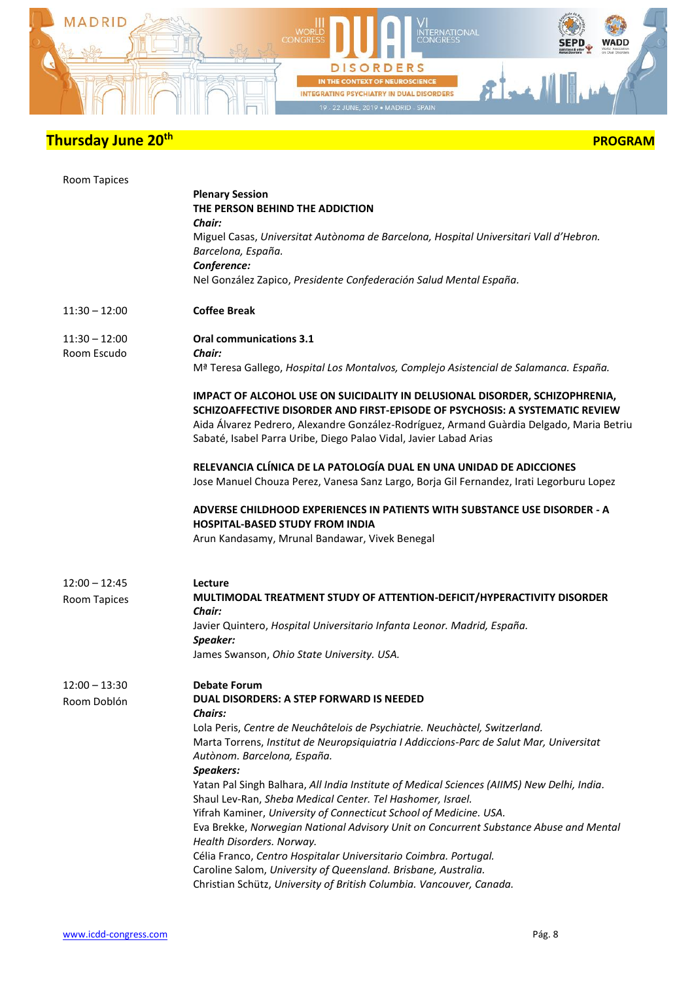

| Room Tapices                    | <b>Plenary Session</b><br>THE PERSON BEHIND THE ADDICTION<br>Chair:<br>Miguel Casas, Universitat Autònoma de Barcelona, Hospital Universitari Vall d'Hebron.<br>Barcelona, España.<br>Conference:<br>Nel González Zapico, Presidente Confederación Salud Mental España.                                                                                                                                                                                                                                                                                                                                                                                                                                                                                                                                                                                                              |
|---------------------------------|--------------------------------------------------------------------------------------------------------------------------------------------------------------------------------------------------------------------------------------------------------------------------------------------------------------------------------------------------------------------------------------------------------------------------------------------------------------------------------------------------------------------------------------------------------------------------------------------------------------------------------------------------------------------------------------------------------------------------------------------------------------------------------------------------------------------------------------------------------------------------------------|
| $11:30 - 12:00$                 | <b>Coffee Break</b>                                                                                                                                                                                                                                                                                                                                                                                                                                                                                                                                                                                                                                                                                                                                                                                                                                                                  |
| $11:30 - 12:00$<br>Room Escudo  | <b>Oral communications 3.1</b><br><b>Chair:</b><br>Mª Teresa Gallego, Hospital Los Montalvos, Complejo Asistencial de Salamanca. España.                                                                                                                                                                                                                                                                                                                                                                                                                                                                                                                                                                                                                                                                                                                                             |
|                                 | IMPACT OF ALCOHOL USE ON SUICIDALITY IN DELUSIONAL DISORDER, SCHIZOPHRENIA,<br>SCHIZOAFFECTIVE DISORDER AND FIRST-EPISODE OF PSYCHOSIS: A SYSTEMATIC REVIEW<br>Aida Álvarez Pedrero, Alexandre González-Rodríguez, Armand Guàrdia Delgado, Maria Betriu<br>Sabaté, Isabel Parra Uribe, Diego Palao Vidal, Javier Labad Arias                                                                                                                                                                                                                                                                                                                                                                                                                                                                                                                                                         |
|                                 | RELEVANCIA CLÍNICA DE LA PATOLOGÍA DUAL EN UNA UNIDAD DE ADICCIONES<br>Jose Manuel Chouza Perez, Vanesa Sanz Largo, Borja Gil Fernandez, Irati Legorburu Lopez                                                                                                                                                                                                                                                                                                                                                                                                                                                                                                                                                                                                                                                                                                                       |
|                                 | ADVERSE CHILDHOOD EXPERIENCES IN PATIENTS WITH SUBSTANCE USE DISORDER - A<br><b>HOSPITAL-BASED STUDY FROM INDIA</b><br>Arun Kandasamy, Mrunal Bandawar, Vivek Benegal                                                                                                                                                                                                                                                                                                                                                                                                                                                                                                                                                                                                                                                                                                                |
| $12:00 - 12:45$<br>Room Tapices | Lecture<br>MULTIMODAL TREATMENT STUDY OF ATTENTION-DEFICIT/HYPERACTIVITY DISORDER<br>Chair:<br>Javier Quintero, Hospital Universitario Infanta Leonor. Madrid, España.<br>Speaker:<br>James Swanson, Ohio State University. USA.                                                                                                                                                                                                                                                                                                                                                                                                                                                                                                                                                                                                                                                     |
| $12:00 - 13:30$<br>Room Doblón  | <b>Debate Forum</b><br>DUAL DISORDERS: A STEP FORWARD IS NEEDED<br><b>Chairs:</b><br>Lola Peris, Centre de Neuchâtelois de Psychiatrie. Neuchàctel, Switzerland.<br>Marta Torrens, Institut de Neuropsiquiatria I Addiccions-Parc de Salut Mar, Universitat<br>Autònom. Barcelona, España.<br><b>Speakers:</b><br>Yatan Pal Singh Balhara, All India Institute of Medical Sciences (AIIMS) New Delhi, India.<br>Shaul Lev-Ran, Sheba Medical Center. Tel Hashomer, Israel.<br>Yifrah Kaminer, University of Connecticut School of Medicine. USA.<br>Eva Brekke, Norwegian National Advisory Unit on Concurrent Substance Abuse and Mental<br>Health Disorders. Norway.<br>Célia Franco, Centro Hospitalar Universitario Coimbra. Portugal.<br>Caroline Salom, University of Queensland. Brisbane, Australia.<br>Christian Schütz, University of British Columbia. Vancouver, Canada. |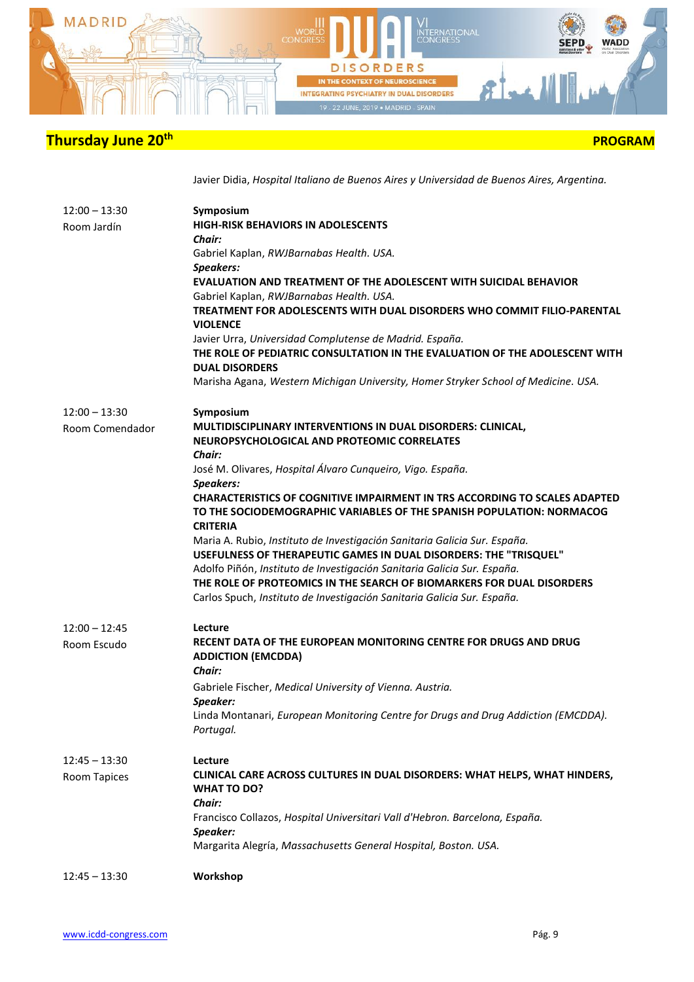

 **PROGRAM** 

Javier Didia, *Hospital Italiano de Buenos Aires y Universidad de Buenos Aires, Argentina.*

| $12:45 - 13:30$                    | Workshop                                                                                                                                                                                                                                                                                                                                                                                                                                                                                                                                                                                                                                  |
|------------------------------------|-------------------------------------------------------------------------------------------------------------------------------------------------------------------------------------------------------------------------------------------------------------------------------------------------------------------------------------------------------------------------------------------------------------------------------------------------------------------------------------------------------------------------------------------------------------------------------------------------------------------------------------------|
| $12:45 - 13:30$<br>Room Tapices    | Lecture<br>CLINICAL CARE ACROSS CULTURES IN DUAL DISORDERS: WHAT HELPS, WHAT HINDERS,<br><b>WHAT TO DO?</b><br>Chair:<br>Francisco Collazos, Hospital Universitari Vall d'Hebron. Barcelona, España.<br>Speaker:<br>Margarita Alegría, Massachusetts General Hospital, Boston. USA.                                                                                                                                                                                                                                                                                                                                                       |
| $12:00 - 12:45$<br>Room Escudo     | Lecture<br>RECENT DATA OF THE EUROPEAN MONITORING CENTRE FOR DRUGS AND DRUG<br><b>ADDICTION (EMCDDA)</b><br>Chair:<br>Gabriele Fischer, Medical University of Vienna. Austria.<br>Speaker:<br>Linda Montanari, European Monitoring Centre for Drugs and Drug Addiction (EMCDDA).<br>Portugal.                                                                                                                                                                                                                                                                                                                                             |
|                                    | José M. Olivares, Hospital Álvaro Cunqueiro, Vigo. España.<br>Speakers:<br><b>CHARACTERISTICS OF COGNITIVE IMPAIRMENT IN TRS ACCORDING TO SCALES ADAPTED</b><br>TO THE SOCIODEMOGRAPHIC VARIABLES OF THE SPANISH POPULATION: NORMACOG<br><b>CRITERIA</b><br>Maria A. Rubio, Instituto de Investigación Sanitaria Galicia Sur. España.<br>USEFULNESS OF THERAPEUTIC GAMES IN DUAL DISORDERS: THE "TRISQUEL"<br>Adolfo Piñón, Instituto de Investigación Sanitaria Galicia Sur. España.<br>THE ROLE OF PROTEOMICS IN THE SEARCH OF BIOMARKERS FOR DUAL DISORDERS<br>Carlos Spuch, Instituto de Investigación Sanitaria Galicia Sur. España. |
| $12:00 - 13:30$<br>Room Comendador | Symposium<br>MULTIDISCIPLINARY INTERVENTIONS IN DUAL DISORDERS: CLINICAL,<br>NEUROPSYCHOLOGICAL AND PROTEOMIC CORRELATES<br>Chair:                                                                                                                                                                                                                                                                                                                                                                                                                                                                                                        |
| $12:00 - 13:30$<br>Room Jardín     | Symposium<br><b>HIGH-RISK BEHAVIORS IN ADOLESCENTS</b><br><b>Chair:</b><br>Gabriel Kaplan, RWJBarnabas Health. USA.<br>Speakers:<br><b>EVALUATION AND TREATMENT OF THE ADOLESCENT WITH SUICIDAL BEHAVIOR</b><br>Gabriel Kaplan, RWJBarnabas Health. USA.<br>TREATMENT FOR ADOLESCENTS WITH DUAL DISORDERS WHO COMMIT FILIO-PARENTAL<br><b>VIOLENCE</b><br>Javier Urra, Universidad Complutense de Madrid. España.<br>THE ROLE OF PEDIATRIC CONSULTATION IN THE EVALUATION OF THE ADOLESCENT WITH<br><b>DUAL DISORDERS</b><br>Marisha Agana, Western Michigan University, Homer Stryker School of Medicine. USA.                           |
|                                    |                                                                                                                                                                                                                                                                                                                                                                                                                                                                                                                                                                                                                                           |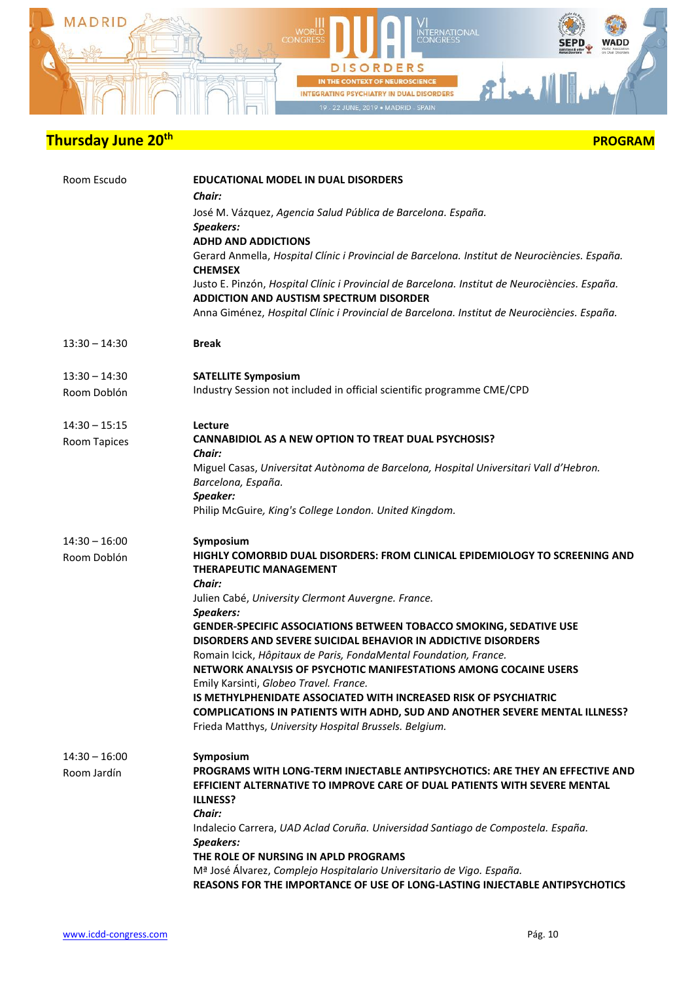

|  | <b>PROGRAM</b> |
|--|----------------|
|--|----------------|

| Room Escudo                            | <b>EDUCATIONAL MODEL IN DUAL DISORDERS</b><br><b>Chair:</b><br>José M. Vázquez, Agencia Salud Pública de Barcelona. España.<br>Speakers:<br><b>ADHD AND ADDICTIONS</b><br>Gerard Anmella, Hospital Clínic i Provincial de Barcelona. Institut de Neurociències. España.<br><b>CHEMSEX</b><br>Justo E. Pinzón, Hospital Clínic i Provincial de Barcelona. Institut de Neurociències. España.<br>ADDICTION AND AUSTISM SPECTRUM DISORDER<br>Anna Giménez, Hospital Clínic i Provincial de Barcelona. Institut de Neurociències. España.                                                                                                                                                                                                                                    |
|----------------------------------------|--------------------------------------------------------------------------------------------------------------------------------------------------------------------------------------------------------------------------------------------------------------------------------------------------------------------------------------------------------------------------------------------------------------------------------------------------------------------------------------------------------------------------------------------------------------------------------------------------------------------------------------------------------------------------------------------------------------------------------------------------------------------------|
| $13:30 - 14:30$                        | <b>Break</b>                                                                                                                                                                                                                                                                                                                                                                                                                                                                                                                                                                                                                                                                                                                                                             |
| $13:30 - 14:30$<br>Room Doblón         | <b>SATELLITE Symposium</b><br>Industry Session not included in official scientific programme CME/CPD                                                                                                                                                                                                                                                                                                                                                                                                                                                                                                                                                                                                                                                                     |
| $14:30 - 15:15$<br><b>Room Tapices</b> | Lecture<br><b>CANNABIDIOL AS A NEW OPTION TO TREAT DUAL PSYCHOSIS?</b><br>Chair:<br>Miguel Casas, Universitat Autònoma de Barcelona, Hospital Universitari Vall d'Hebron.<br>Barcelona, España.<br>Speaker:<br>Philip McGuire, King's College London. United Kingdom.                                                                                                                                                                                                                                                                                                                                                                                                                                                                                                    |
| $14:30 - 16:00$<br>Room Doblón         | Symposium<br>HIGHLY COMORBID DUAL DISORDERS: FROM CLINICAL EPIDEMIOLOGY TO SCREENING AND<br><b>THERAPEUTIC MANAGEMENT</b><br>Chair:<br>Julien Cabé, University Clermont Auvergne. France.<br>Speakers:<br><b>GENDER-SPECIFIC ASSOCIATIONS BETWEEN TOBACCO SMOKING, SEDATIVE USE</b><br><b>DISORDERS AND SEVERE SUICIDAL BEHAVIOR IN ADDICTIVE DISORDERS</b><br>Romain Icick, Hôpitaux de Paris, FondaMental Foundation, France.<br>NETWORK ANALYSIS OF PSYCHOTIC MANIFESTATIONS AMONG COCAINE USERS<br>Emily Karsinti, Globeo Travel. France.<br><b>IS METHYLPHENIDATE ASSOCIATED WITH INCREASED RISK OF PSYCHIATRIC</b><br><b>COMPLICATIONS IN PATIENTS WITH ADHD, SUD AND ANOTHER SEVERE MENTAL ILLNESS?</b><br>Frieda Matthys, University Hospital Brussels. Belgium. |
| $14:30 - 16:00$<br>Room Jardín         | Symposium<br>PROGRAMS WITH LONG-TERM INJECTABLE ANTIPSYCHOTICS: ARE THEY AN EFFECTIVE AND<br>EFFICIENT ALTERNATIVE TO IMPROVE CARE OF DUAL PATIENTS WITH SEVERE MENTAL<br><b>ILLNESS?</b><br>Chair:<br>Indalecio Carrera, UAD Aclad Coruña. Universidad Santiago de Compostela. España.<br>Speakers:<br>THE ROLE OF NURSING IN APLD PROGRAMS<br>Mª José Álvarez, Complejo Hospitalario Universitario de Vigo. España.<br>REASONS FOR THE IMPORTANCE OF USE OF LONG-LASTING INJECTABLE ANTIPSYCHOTICS                                                                                                                                                                                                                                                                     |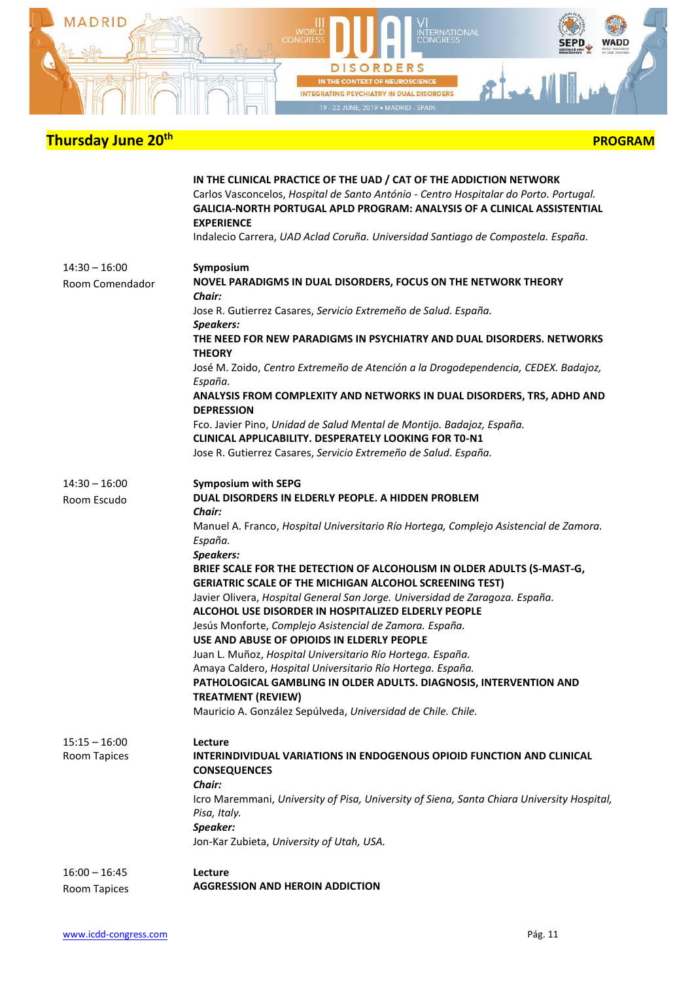

|                                    | IN THE CLINICAL PRACTICE OF THE UAD / CAT OF THE ADDICTION NETWORK<br>Carlos Vasconcelos, Hospital de Santo António - Centro Hospitalar do Porto. Portugal.<br>GALICIA-NORTH PORTUGAL APLD PROGRAM: ANALYSIS OF A CLINICAL ASSISTENTIAL<br><b>EXPERIENCE</b><br>Indalecio Carrera, UAD Aclad Coruña. Universidad Santiago de Compostela. España. |
|------------------------------------|--------------------------------------------------------------------------------------------------------------------------------------------------------------------------------------------------------------------------------------------------------------------------------------------------------------------------------------------------|
| $14:30 - 16:00$<br>Room Comendador | Symposium<br>NOVEL PARADIGMS IN DUAL DISORDERS, FOCUS ON THE NETWORK THEORY<br>Chair:                                                                                                                                                                                                                                                            |
|                                    | Jose R. Gutierrez Casares, Servicio Extremeño de Salud. España.<br>Speakers:                                                                                                                                                                                                                                                                     |
|                                    | THE NEED FOR NEW PARADIGMS IN PSYCHIATRY AND DUAL DISORDERS. NETWORKS<br><b>THEORY</b>                                                                                                                                                                                                                                                           |
|                                    | José M. Zoido, Centro Extremeño de Atención a la Drogodependencia, CEDEX. Badajoz,<br>España.                                                                                                                                                                                                                                                    |
|                                    | ANALYSIS FROM COMPLEXITY AND NETWORKS IN DUAL DISORDERS, TRS, ADHD AND<br><b>DEPRESSION</b>                                                                                                                                                                                                                                                      |
|                                    | Fco. Javier Pino, Unidad de Salud Mental de Montijo. Badajoz, España.                                                                                                                                                                                                                                                                            |
|                                    | <b>CLINICAL APPLICABILITY. DESPERATELY LOOKING FOR TO-N1</b>                                                                                                                                                                                                                                                                                     |
|                                    | Jose R. Gutierrez Casares, Servicio Extremeño de Salud. España.                                                                                                                                                                                                                                                                                  |
| $14:30 - 16:00$                    | <b>Symposium with SEPG</b>                                                                                                                                                                                                                                                                                                                       |
| Room Escudo                        | DUAL DISORDERS IN ELDERLY PEOPLE. A HIDDEN PROBLEM                                                                                                                                                                                                                                                                                               |
|                                    | Chair:                                                                                                                                                                                                                                                                                                                                           |
|                                    | Manuel A. Franco, Hospital Universitario Río Hortega, Complejo Asistencial de Zamora.<br>España.<br>Speakers:                                                                                                                                                                                                                                    |
|                                    | BRIEF SCALE FOR THE DETECTION OF ALCOHOLISM IN OLDER ADULTS (S-MAST-G,<br><b>GERIATRIC SCALE OF THE MICHIGAN ALCOHOL SCREENING TEST)</b>                                                                                                                                                                                                         |
|                                    | Javier Olivera, Hospital General San Jorge. Universidad de Zaragoza. España.<br>ALCOHOL USE DISORDER IN HOSPITALIZED ELDERLY PEOPLE                                                                                                                                                                                                              |
|                                    | Jesús Monforte, Complejo Asistencial de Zamora. España.                                                                                                                                                                                                                                                                                          |
|                                    | USE AND ABUSE OF OPIOIDS IN ELDERLY PEOPLE                                                                                                                                                                                                                                                                                                       |
|                                    | Juan L. Muñoz, Hospital Universitario Río Hortega. España.                                                                                                                                                                                                                                                                                       |
|                                    | Amaya Caldero, Hospital Universitario Río Hortega. España.<br>PATHOLOGICAL GAMBLING IN OLDER ADULTS. DIAGNOSIS, INTERVENTION AND<br><b>TREATMENT (REVIEW)</b>                                                                                                                                                                                    |
|                                    | Mauricio A. González Sepúlveda, Universidad de Chile. Chile.                                                                                                                                                                                                                                                                                     |
| $15:15 - 16:00$                    | Lecture                                                                                                                                                                                                                                                                                                                                          |
| Room Tapices                       | <b>INTERINDIVIDUAL VARIATIONS IN ENDOGENOUS OPIOID FUNCTION AND CLINICAL</b><br><b>CONSEQUENCES</b>                                                                                                                                                                                                                                              |
|                                    | Chair:                                                                                                                                                                                                                                                                                                                                           |
|                                    | Icro Maremmani, University of Pisa, University of Siena, Santa Chiara University Hospital,<br>Pisa, Italy.                                                                                                                                                                                                                                       |
|                                    | Speaker:                                                                                                                                                                                                                                                                                                                                         |
|                                    | Jon-Kar Zubieta, University of Utah, USA.                                                                                                                                                                                                                                                                                                        |
| $16:00 - 16:45$                    | Lecture                                                                                                                                                                                                                                                                                                                                          |
| Room Tapices                       | <b>AGGRESSION AND HEROIN ADDICTION</b>                                                                                                                                                                                                                                                                                                           |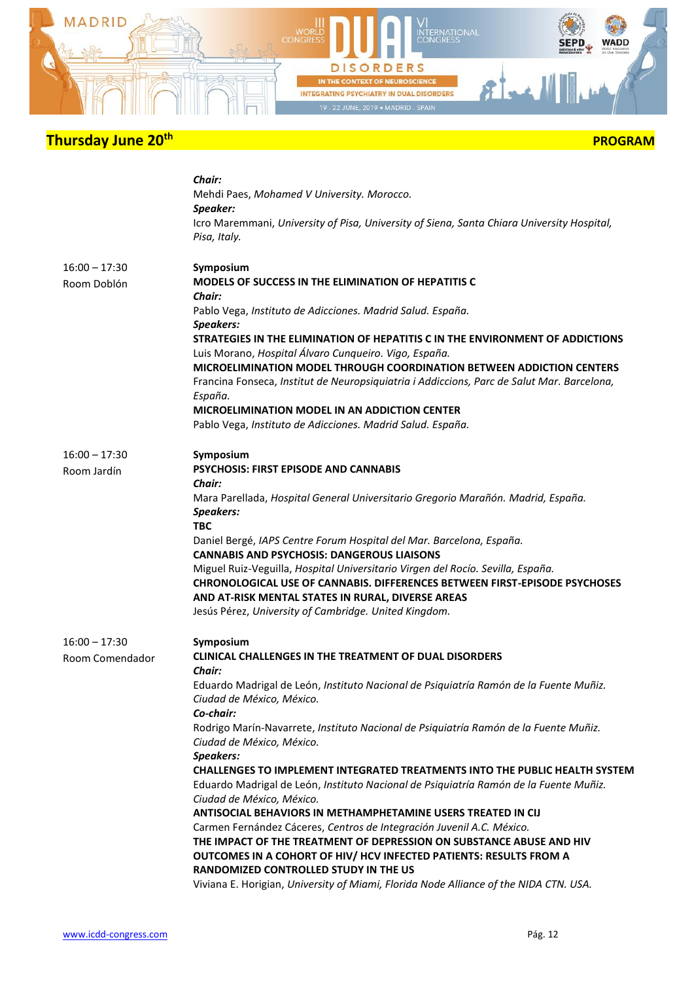

|  | <b>PROGRAM</b> |
|--|----------------|
|--|----------------|

|                                    | Chair:<br>Mehdi Paes, Mohamed V University. Morocco.<br>Speaker:<br>Icro Maremmani, University of Pisa, University of Siena, Santa Chiara University Hospital,<br>Pisa, Italy.                                                                                                                                                                                                                                                                                                                                                                                                                                                                                                                                                                                                                                                                                                                                                                                                                 |
|------------------------------------|------------------------------------------------------------------------------------------------------------------------------------------------------------------------------------------------------------------------------------------------------------------------------------------------------------------------------------------------------------------------------------------------------------------------------------------------------------------------------------------------------------------------------------------------------------------------------------------------------------------------------------------------------------------------------------------------------------------------------------------------------------------------------------------------------------------------------------------------------------------------------------------------------------------------------------------------------------------------------------------------|
| $16:00 - 17:30$<br>Room Doblón     | Symposium<br><b>MODELS OF SUCCESS IN THE ELIMINATION OF HEPATITIS C</b><br><b>Chair:</b><br>Pablo Vega, Instituto de Adicciones. Madrid Salud. España.<br><b>Speakers:</b><br>STRATEGIES IN THE ELIMINATION OF HEPATITIS C IN THE ENVIRONMENT OF ADDICTIONS<br>Luis Morano, Hospital Álvaro Cunqueiro. Vigo, España.<br><b>MICROELIMINATION MODEL THROUGH COORDINATION BETWEEN ADDICTION CENTERS</b><br>Francina Fonseca, Institut de Neuropsiquiatria i Addiccions, Parc de Salut Mar. Barcelona,<br>España.<br>MICROELIMINATION MODEL IN AN ADDICTION CENTER<br>Pablo Vega, Instituto de Adicciones. Madrid Salud. España.                                                                                                                                                                                                                                                                                                                                                                   |
| $16:00 - 17:30$<br>Room Jardín     | Symposium<br><b>PSYCHOSIS: FIRST EPISODE AND CANNABIS</b><br>Chair:<br>Mara Parellada, Hospital General Universitario Gregorio Marañón. Madrid, España.<br><b>Speakers:</b><br><b>TBC</b><br>Daniel Bergé, IAPS Centre Forum Hospital del Mar. Barcelona, España.<br><b>CANNABIS AND PSYCHOSIS: DANGEROUS LIAISONS</b><br>Miguel Ruiz-Veguilla, Hospital Universitario Virgen del Rocío. Sevilla, España.<br><b>CHRONOLOGICAL USE OF CANNABIS, DIFFERENCES BETWEEN FIRST-EPISODE PSYCHOSES</b><br>AND AT-RISK MENTAL STATES IN RURAL, DIVERSE AREAS<br>Jesús Pérez, University of Cambridge. United Kingdom.                                                                                                                                                                                                                                                                                                                                                                                   |
| $16:00 - 17:30$<br>Room Comendador | Symposium<br><b>CLINICAL CHALLENGES IN THE TREATMENT OF DUAL DISORDERS</b><br>Chair:<br>Eduardo Madrigal de León, Instituto Nacional de Psiquiatría Ramón de la Fuente Muñiz.<br>Ciudad de México, México.<br>Co-chair:<br>Rodrigo Marín-Navarrete, Instituto Nacional de Psiquiatría Ramón de la Fuente Muñiz.<br>Ciudad de México, México.<br>Speakers:<br><b>CHALLENGES TO IMPLEMENT INTEGRATED TREATMENTS INTO THE PUBLIC HEALTH SYSTEM</b><br>Eduardo Madrigal de León, Instituto Nacional de Psiquiatría Ramón de la Fuente Muñiz.<br>Ciudad de México, México.<br>ANTISOCIAL BEHAVIORS IN METHAMPHETAMINE USERS TREATED IN CIJ<br>Carmen Fernández Cáceres, Centros de Integración Juvenil A.C. México.<br>THE IMPACT OF THE TREATMENT OF DEPRESSION ON SUBSTANCE ABUSE AND HIV<br>OUTCOMES IN A COHORT OF HIV/ HCV INFECTED PATIENTS: RESULTS FROM A<br>RANDOMIZED CONTROLLED STUDY IN THE US<br>Viviana E. Horigian, University of Miami, Florida Node Alliance of the NIDA CTN. USA. |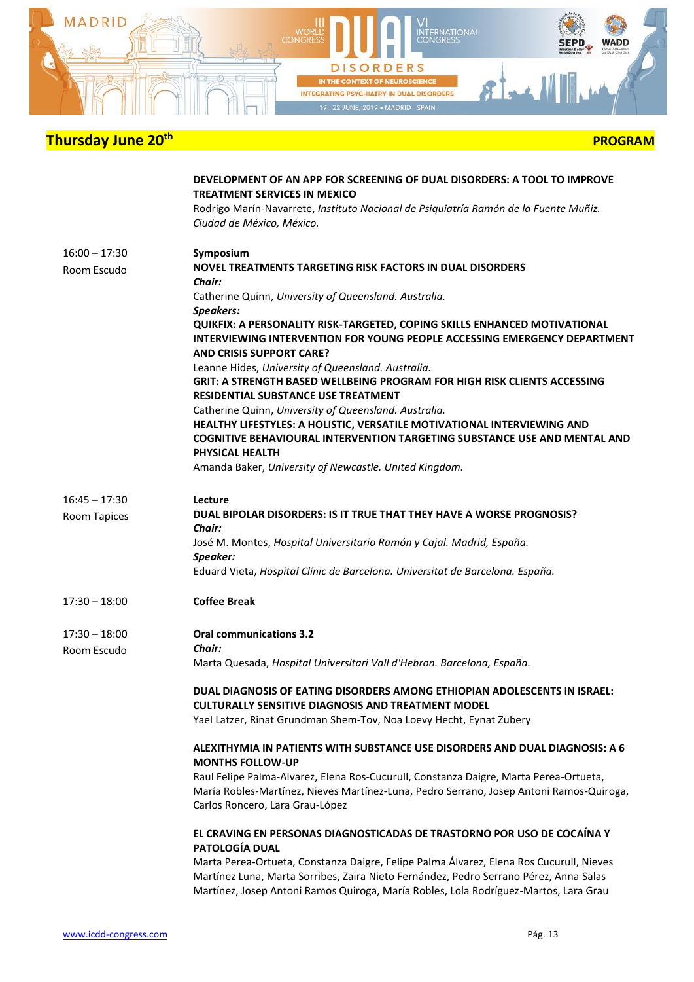

|                                        | DEVELOPMENT OF AN APP FOR SCREENING OF DUAL DISORDERS: A TOOL TO IMPROVE<br>TREATMENT SERVICES IN MEXICO<br>Rodrigo Marín-Navarrete, Instituto Nacional de Psiquiatría Ramón de la Fuente Muñiz.<br>Ciudad de México, México.                                            |
|----------------------------------------|--------------------------------------------------------------------------------------------------------------------------------------------------------------------------------------------------------------------------------------------------------------------------|
| 16:00 – 17:30<br>Room Escudo           | Symposium<br>NOVEL TREATMENTS TARGETING RISK FACTORS IN DUAL DISORDERS<br>Chair:                                                                                                                                                                                         |
|                                        | Catherine Quinn, University of Queensland. Australia.<br>Speakers:<br>QUIKFIX: A PERSONALITY RISK-TARGETED, COPING SKILLS ENHANCED MOTIVATIONAL<br>INTERVIEWING INTERVENTION FOR YOUNG PEOPLE ACCESSING EMERGENCY DEPARTMENT<br><b>AND CRISIS SUPPORT CARE?</b>          |
|                                        | Leanne Hides, University of Queensland. Australia.<br><b>GRIT: A STRENGTH BASED WELLBEING PROGRAM FOR HIGH RISK CLIENTS ACCESSING</b><br><b>RESIDENTIAL SUBSTANCE USE TREATMENT</b>                                                                                      |
|                                        | Catherine Quinn, University of Queensland. Australia.<br>HEALTHY LIFESTYLES: A HOLISTIC, VERSATILE MOTIVATIONAL INTERVIEWING AND<br>COGNITIVE BEHAVIOURAL INTERVENTION TARGETING SUBSTANCE USE AND MENTAL AND<br>PHYSICAL HEALTH                                         |
|                                        | Amanda Baker, University of Newcastle. United Kingdom.                                                                                                                                                                                                                   |
| $16:45 - 17:30$<br><b>Room Tapices</b> | Lecture<br>DUAL BIPOLAR DISORDERS: IS IT TRUE THAT THEY HAVE A WORSE PROGNOSIS?<br>Chair:                                                                                                                                                                                |
|                                        | José M. Montes, Hospital Universitario Ramón y Cajal. Madrid, España.<br>Speaker:<br>Eduard Vieta, Hospital Clínic de Barcelona. Universitat de Barcelona. España.                                                                                                       |
| $17:30 - 18:00$                        | <b>Coffee Break</b>                                                                                                                                                                                                                                                      |
| 17:30 - 18:00<br>Room Escudo           | <b>Oral communications 3.2</b><br>Chair:                                                                                                                                                                                                                                 |
|                                        | Marta Quesada, Hospital Universitari Vall d'Hebron. Barcelona, España.                                                                                                                                                                                                   |
|                                        | DUAL DIAGNOSIS OF EATING DISORDERS AMONG ETHIOPIAN ADOLESCENTS IN ISRAEL:<br><b>CULTURALLY SENSITIVE DIAGNOSIS AND TREATMENT MODEL</b><br>Yael Latzer, Rinat Grundman Shem-Tov, Noa Loevy Hecht, Eynat Zubery                                                            |
|                                        | ALEXITHYMIA IN PATIENTS WITH SUBSTANCE USE DISORDERS AND DUAL DIAGNOSIS: A 6<br><b>MONTHS FOLLOW-UP</b>                                                                                                                                                                  |
|                                        | Raul Felipe Palma-Alvarez, Elena Ros-Cucurull, Constanza Daigre, Marta Perea-Ortueta,<br>María Robles-Martínez, Nieves Martínez-Luna, Pedro Serrano, Josep Antoni Ramos-Quiroga,<br>Carlos Roncero, Lara Grau-López                                                      |
|                                        | EL CRAVING EN PERSONAS DIAGNOSTICADAS DE TRASTORNO POR USO DE COCAÍNA Y<br>PATOLOGÍA DUAL                                                                                                                                                                                |
|                                        | Marta Perea-Ortueta, Constanza Daigre, Felipe Palma Álvarez, Elena Ros Cucurull, Nieves<br>Martínez Luna, Marta Sorribes, Zaira Nieto Fernández, Pedro Serrano Pérez, Anna Salas<br>Martínez, Josep Antoni Ramos Quiroga, María Robles, Lola Rodríguez-Martos, Lara Grau |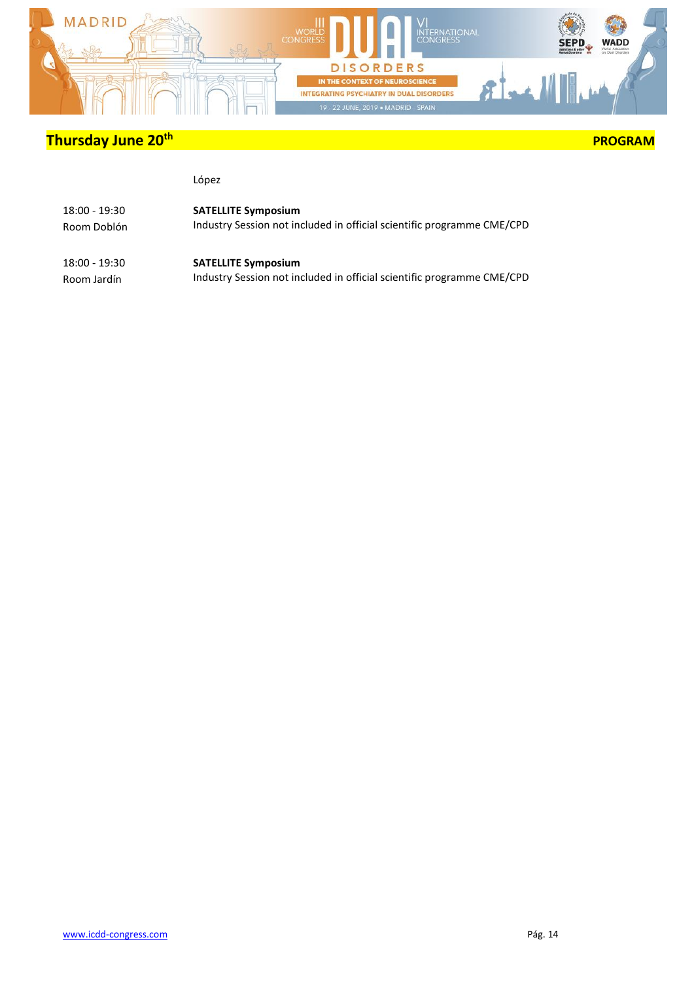

### **PROGRAM**

#### López

| 18:00 - 19:30 | <b>SATELLITE Symposium</b>                                             |
|---------------|------------------------------------------------------------------------|
| Room Doblón   | Industry Session not included in official scientific programme CME/CPD |
| 18:00 - 19:30 | <b>SATELLITE Symposium</b>                                             |

Room Jardín

Industry Session not included in official scientific programme CME/CPD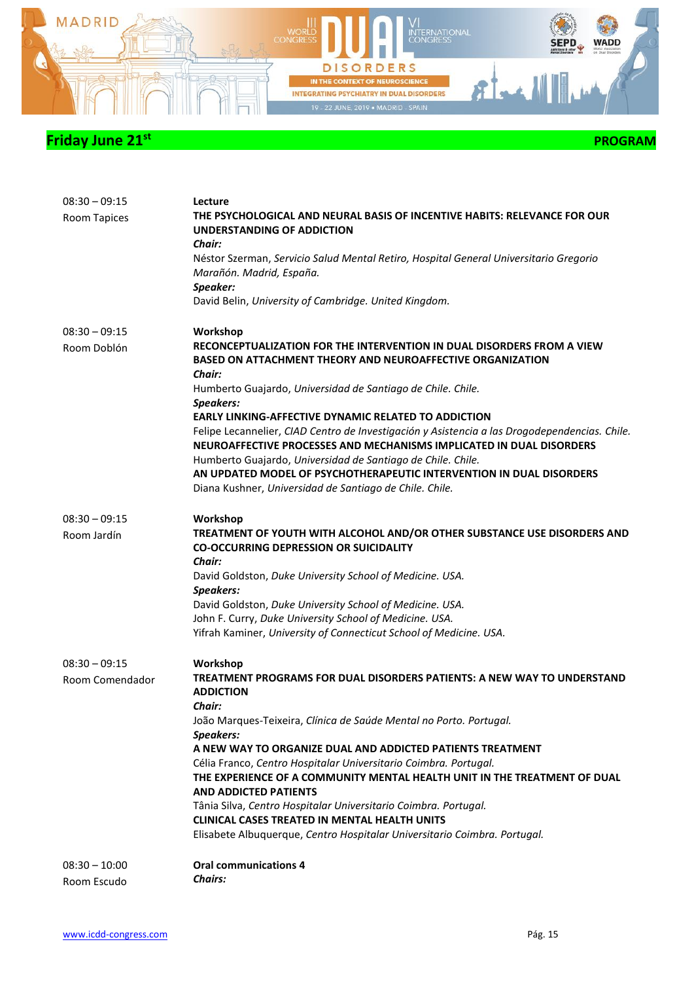

| $08:30 - 09:15$<br>Room Tapices    | Lecture<br>THE PSYCHOLOGICAL AND NEURAL BASIS OF INCENTIVE HABITS: RELEVANCE FOR OUR<br>UNDERSTANDING OF ADDICTION<br><b>Chair:</b><br>Néstor Szerman, Servicio Salud Mental Retiro, Hospital General Universitario Gregorio<br>Marañón. Madrid, España.<br>Speaker:<br>David Belin, University of Cambridge. United Kingdom.                                                                                                                                                                                                                                                                                                                                                                  |
|------------------------------------|------------------------------------------------------------------------------------------------------------------------------------------------------------------------------------------------------------------------------------------------------------------------------------------------------------------------------------------------------------------------------------------------------------------------------------------------------------------------------------------------------------------------------------------------------------------------------------------------------------------------------------------------------------------------------------------------|
| $08:30 - 09:15$<br>Room Doblón     | Workshop<br>RECONCEPTUALIZATION FOR THE INTERVENTION IN DUAL DISORDERS FROM A VIEW<br><b>BASED ON ATTACHMENT THEORY AND NEUROAFFECTIVE ORGANIZATION</b><br>Chair:<br>Humberto Guajardo, Universidad de Santiago de Chile. Chile.<br><b>Speakers:</b><br><b>EARLY LINKING-AFFECTIVE DYNAMIC RELATED TO ADDICTION</b><br>Felipe Lecannelier, CIAD Centro de Investigación y Asistencia a las Drogodependencias. Chile.<br>NEUROAFFECTIVE PROCESSES AND MECHANISMS IMPLICATED IN DUAL DISORDERS<br>Humberto Guajardo, Universidad de Santiago de Chile. Chile.<br>AN UPDATED MODEL OF PSYCHOTHERAPEUTIC INTERVENTION IN DUAL DISORDERS<br>Diana Kushner, Universidad de Santiago de Chile. Chile. |
| $08:30 - 09:15$<br>Room Jardín     | Workshop<br>TREATMENT OF YOUTH WITH ALCOHOL AND/OR OTHER SUBSTANCE USE DISORDERS AND<br><b>CO-OCCURRING DEPRESSION OR SUICIDALITY</b><br>Chair:<br>David Goldston, Duke University School of Medicine. USA.<br><b>Speakers:</b><br>David Goldston, Duke University School of Medicine. USA.<br>John F. Curry, Duke University School of Medicine. USA.<br>Yifrah Kaminer, University of Connecticut School of Medicine. USA.                                                                                                                                                                                                                                                                   |
| $08:30 - 09:15$<br>Room Comendador | Workshop<br>TREATMENT PROGRAMS FOR DUAL DISORDERS PATIENTS: A NEW WAY TO UNDERSTAND<br><b>ADDICTION</b><br><b>Chair:</b><br>João Marques-Teixeira, Clínica de Saúde Mental no Porto. Portugal.<br>Speakers:<br>A NEW WAY TO ORGANIZE DUAL AND ADDICTED PATIENTS TREATMENT<br>Célia Franco, Centro Hospitalar Universitario Coimbra. Portugal.<br>THE EXPERIENCE OF A COMMUNITY MENTAL HEALTH UNIT IN THE TREATMENT OF DUAL<br><b>AND ADDICTED PATIENTS</b><br>Tânia Silva, Centro Hospitalar Universitario Coimbra. Portugal.<br><b>CLINICAL CASES TREATED IN MENTAL HEALTH UNITS</b><br>Elisabete Albuquerque, Centro Hospitalar Universitario Coimbra. Portugal.                             |
| $08:30 - 10:00$<br>Room Escudo     | <b>Oral communications 4</b><br><b>Chairs:</b>                                                                                                                                                                                                                                                                                                                                                                                                                                                                                                                                                                                                                                                 |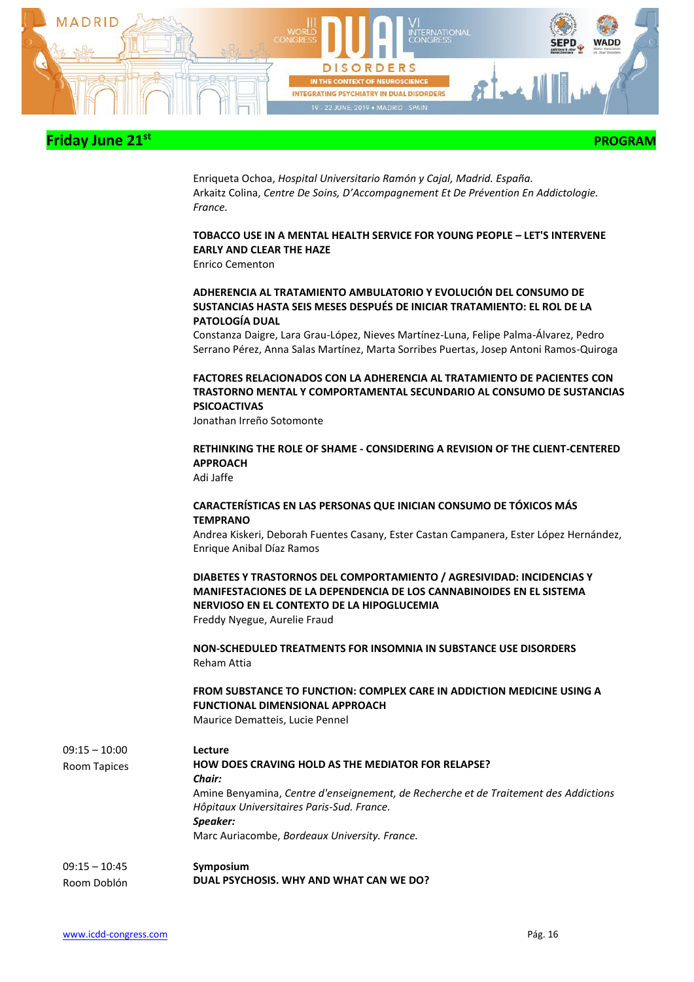

 **PROGRAM** 

Enriqueta Ochoa, *Hospital Universitario Ramón y Cajal, Madrid. España.* Arkaitz Colina, *Centre De Soins, D'Accompagnement Et De Prévention En Addictologie. France.*

### **TOBACCO USE IN A MENTAL HEALTH SERVICE FOR YOUNG PEOPLE – LET'S INTERVENE EARLY AND CLEAR THE HAZE**

Enrico Cementon

#### **ADHERENCIA AL TRATAMIENTO AMBULATORIO Y EVOLUCIÓN DEL CONSUMO DE SUSTANCIAS HASTA SEIS MESES DESPUÉS DE INICIAR TRATAMIENTO: EL ROL DE LA PATOLOGÍA DUAL**

Constanza Daigre, Lara Grau-López, Nieves Martínez-Luna, Felipe Palma-Álvarez, Pedro Serrano Pérez, Anna Salas Martínez, Marta Sorribes Puertas, Josep Antoni Ramos-Quiroga

#### **FACTORES RELACIONADOS CON LA ADHERENCIA AL TRATAMIENTO DE PACIENTES CON TRASTORNO MENTAL Y COMPORTAMENTAL SECUNDARIO AL CONSUMO DE SUSTANCIAS PSICOACTIVAS**

Jonathan Irreño Sotomonte

#### **RETHINKING THE ROLE OF SHAME - CONSIDERING A REVISION OF THE CLIENT-CENTERED APPROACH**

Adi Jaffe

#### **CARACTERÍSTICAS EN LAS PERSONAS QUE INICIAN CONSUMO DE TÓXICOS MÁS TEMPRANO**

Andrea Kiskeri, Deborah Fuentes Casany, Ester Castan Campanera, Ester López Hernández, Enrique Anibal Díaz Ramos

**DIABETES Y TRASTORNOS DEL COMPORTAMIENTO / AGRESIVIDAD: INCIDENCIAS Y MANIFESTACIONES DE LA DEPENDENCIA DE LOS CANNABINOIDES EN EL SISTEMA NERVIOSO EN EL CONTEXTO DE LA HIPOGLUCEMIA**

Freddy Nyegue, Aurelie Fraud

**NON-SCHEDULED TREATMENTS FOR INSOMNIA IN SUBSTANCE USE DISORDERS** Reham Attia

### **FROM SUBSTANCE TO FUNCTION: COMPLEX CARE IN ADDICTION MEDICINE USING A FUNCTIONAL DIMENSIONAL APPROACH**

Maurice Dematteis, Lucie Pennel

| $09:15 - 10:00$ | Lecture                                                                              |
|-----------------|--------------------------------------------------------------------------------------|
| Room Tapices    | <b>HOW DOES CRAVING HOLD AS THE MEDIATOR FOR RELAPSE?</b>                            |
|                 | <b>Chair:</b>                                                                        |
|                 | Amine Benyamina, Centre d'enseignement, de Recherche et de Traitement des Addictions |
|                 | Hôpitaux Universitaires Paris-Sud. France.                                           |
|                 | Speaker:                                                                             |
|                 | Marc Auriacombe, Bordeaux University. France.                                        |
| $09:15 - 10:45$ | Symposium                                                                            |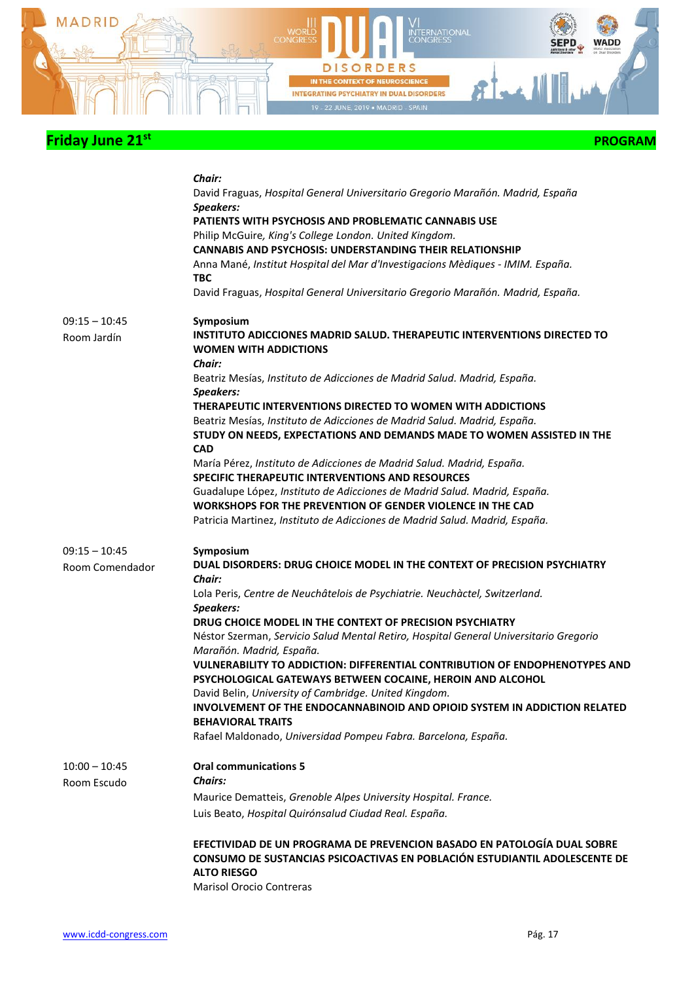

|                                    | Chair:<br>David Fraguas, Hospital General Universitario Gregorio Marañón. Madrid, España<br>Speakers:<br>PATIENTS WITH PSYCHOSIS AND PROBLEMATIC CANNABIS USE<br>Philip McGuire, King's College London. United Kingdom.<br><b>CANNABIS AND PSYCHOSIS: UNDERSTANDING THEIR RELATIONSHIP</b><br>Anna Mané, Institut Hospital del Mar d'Investigacions Mèdiques - IMIM. España.<br><b>TBC</b><br>David Fraguas, Hospital General Universitario Gregorio Marañón. Madrid, España. |
|------------------------------------|-------------------------------------------------------------------------------------------------------------------------------------------------------------------------------------------------------------------------------------------------------------------------------------------------------------------------------------------------------------------------------------------------------------------------------------------------------------------------------|
| $09:15 - 10:45$                    | Symposium                                                                                                                                                                                                                                                                                                                                                                                                                                                                     |
| Room Jardín                        | <b>INSTITUTO ADICCIONES MADRID SALUD. THERAPEUTIC INTERVENTIONS DIRECTED TO</b><br><b>WOMEN WITH ADDICTIONS</b><br>Chair:                                                                                                                                                                                                                                                                                                                                                     |
|                                    | Beatriz Mesías, Instituto de Adicciones de Madrid Salud. Madrid, España.<br>Speakers:                                                                                                                                                                                                                                                                                                                                                                                         |
|                                    | THERAPEUTIC INTERVENTIONS DIRECTED TO WOMEN WITH ADDICTIONS                                                                                                                                                                                                                                                                                                                                                                                                                   |
|                                    | Beatriz Mesías, Instituto de Adicciones de Madrid Salud. Madrid, España.<br>STUDY ON NEEDS, EXPECTATIONS AND DEMANDS MADE TO WOMEN ASSISTED IN THE<br><b>CAD</b>                                                                                                                                                                                                                                                                                                              |
|                                    | María Pérez, Instituto de Adicciones de Madrid Salud. Madrid, España.                                                                                                                                                                                                                                                                                                                                                                                                         |
|                                    | <b>SPECIFIC THERAPEUTIC INTERVENTIONS AND RESOURCES</b>                                                                                                                                                                                                                                                                                                                                                                                                                       |
|                                    | Guadalupe López, Instituto de Adicciones de Madrid Salud. Madrid, España.                                                                                                                                                                                                                                                                                                                                                                                                     |
|                                    | WORKSHOPS FOR THE PREVENTION OF GENDER VIOLENCE IN THE CAD<br>Patricia Martinez, Instituto de Adicciones de Madrid Salud. Madrid, España.                                                                                                                                                                                                                                                                                                                                     |
| $09:15 - 10:45$<br>Room Comendador | Symposium<br>DUAL DISORDERS: DRUG CHOICE MODEL IN THE CONTEXT OF PRECISION PSYCHIATRY<br>Chair:<br>Lola Peris, Centre de Neuchâtelois de Psychiatrie. Neuchàctel, Switzerland.                                                                                                                                                                                                                                                                                                |
|                                    | Speakers:                                                                                                                                                                                                                                                                                                                                                                                                                                                                     |
|                                    | DRUG CHOICE MODEL IN THE CONTEXT OF PRECISION PSYCHIATRY                                                                                                                                                                                                                                                                                                                                                                                                                      |
|                                    | Néstor Szerman, Servicio Salud Mental Retiro, Hospital General Universitario Gregorio<br>Marañón. Madrid, España.                                                                                                                                                                                                                                                                                                                                                             |
|                                    | <b>VULNERABILITY TO ADDICTION: DIFFERENTIAL CONTRIBUTION OF ENDOPHENOTYPES AND</b><br>PSYCHOLOGICAL GATEWAYS BETWEEN COCAINE, HEROIN AND ALCOHOL                                                                                                                                                                                                                                                                                                                              |
|                                    | David Belin, University of Cambridge. United Kingdom.                                                                                                                                                                                                                                                                                                                                                                                                                         |
|                                    | INVOLVEMENT OF THE ENDOCANNABINOID AND OPIOID SYSTEM IN ADDICTION RELATED<br><b>BEHAVIORAL TRAITS</b>                                                                                                                                                                                                                                                                                                                                                                         |
|                                    | Rafael Maldonado, Universidad Pompeu Fabra. Barcelona, España.                                                                                                                                                                                                                                                                                                                                                                                                                |
| $10:00 - 10:45$                    | <b>Oral communications 5</b>                                                                                                                                                                                                                                                                                                                                                                                                                                                  |
| Room Escudo                        | <b>Chairs:</b>                                                                                                                                                                                                                                                                                                                                                                                                                                                                |
|                                    | Maurice Dematteis, Grenoble Alpes University Hospital. France.                                                                                                                                                                                                                                                                                                                                                                                                                |
|                                    | Luis Beato, Hospital Quirónsalud Ciudad Real. España.                                                                                                                                                                                                                                                                                                                                                                                                                         |
|                                    | EFECTIVIDAD DE UN PROGRAMA DE PREVENCION BASADO EN PATOLOGÍA DUAL SOBRE<br>CONSUMO DE SUSTANCIAS PSICOACTIVAS EN POBLACIÓN ESTUDIANTIL ADOLESCENTE DE<br><b>ALTO RIESGO</b><br><b>Marisol Orocio Contreras</b>                                                                                                                                                                                                                                                                |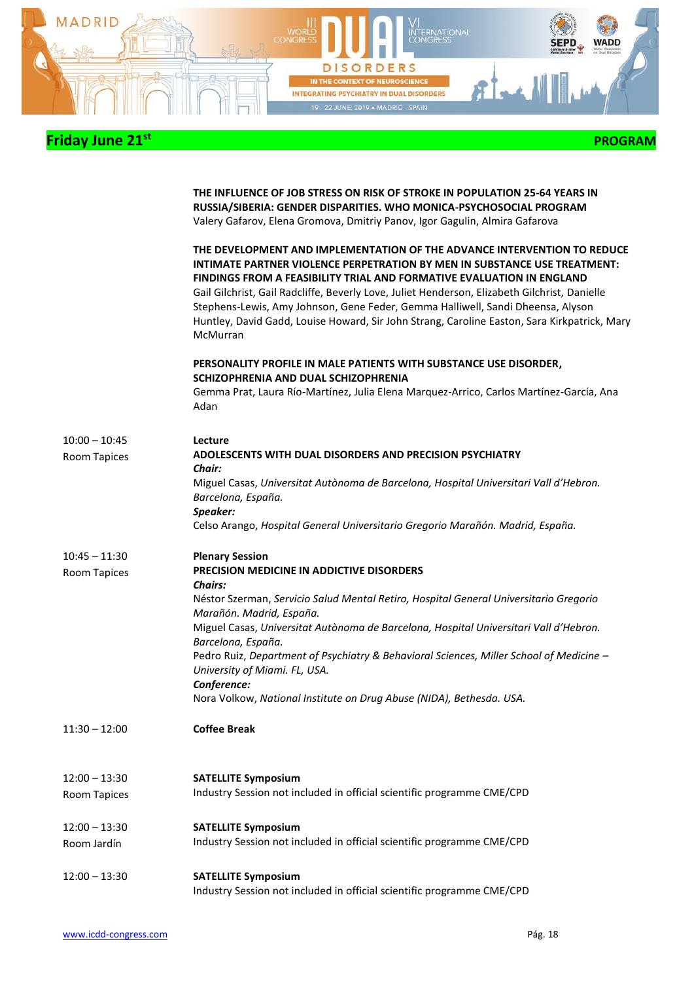

|                                 | THE INFLUENCE OF JOB STRESS ON RISK OF STROKE IN POPULATION 25-64 YEARS IN<br>RUSSIA/SIBERIA: GENDER DISPARITIES. WHO MONICA-PSYCHOSOCIAL PROGRAM<br>Valery Gafarov, Elena Gromova, Dmitriy Panov, Igor Gagulin, Almira Gafarova                                                                                                                                                                                                                                                                                                      |
|---------------------------------|---------------------------------------------------------------------------------------------------------------------------------------------------------------------------------------------------------------------------------------------------------------------------------------------------------------------------------------------------------------------------------------------------------------------------------------------------------------------------------------------------------------------------------------|
|                                 | THE DEVELOPMENT AND IMPLEMENTATION OF THE ADVANCE INTERVENTION TO REDUCE<br>INTIMATE PARTNER VIOLENCE PERPETRATION BY MEN IN SUBSTANCE USE TREATMENT:<br><b>FINDINGS FROM A FEASIBILITY TRIAL AND FORMATIVE EVALUATION IN ENGLAND</b><br>Gail Gilchrist, Gail Radcliffe, Beverly Love, Juliet Henderson, Elizabeth Gilchrist, Danielle<br>Stephens-Lewis, Amy Johnson, Gene Feder, Gemma Halliwell, Sandi Dheensa, Alyson<br>Huntley, David Gadd, Louise Howard, Sir John Strang, Caroline Easton, Sara Kirkpatrick, Mary<br>McMurran |
|                                 | PERSONALITY PROFILE IN MALE PATIENTS WITH SUBSTANCE USE DISORDER,<br>SCHIZOPHRENIA AND DUAL SCHIZOPHRENIA<br>Gemma Prat, Laura Río-Martínez, Julia Elena Marquez-Arrico, Carlos Martínez-García, Ana<br>Adan                                                                                                                                                                                                                                                                                                                          |
|                                 |                                                                                                                                                                                                                                                                                                                                                                                                                                                                                                                                       |
| $10:00 - 10:45$<br>Room Tapices | Lecture<br>ADOLESCENTS WITH DUAL DISORDERS AND PRECISION PSYCHIATRY<br>Chair:                                                                                                                                                                                                                                                                                                                                                                                                                                                         |
|                                 | Miguel Casas, Universitat Autònoma de Barcelona, Hospital Universitari Vall d'Hebron.<br>Barcelona, España.                                                                                                                                                                                                                                                                                                                                                                                                                           |
|                                 | Speaker:<br>Celso Arango, Hospital General Universitario Gregorio Marañón. Madrid, España.                                                                                                                                                                                                                                                                                                                                                                                                                                            |
|                                 |                                                                                                                                                                                                                                                                                                                                                                                                                                                                                                                                       |
| $10:45 - 11:30$<br>Room Tapices | <b>Plenary Session</b><br><b>PRECISION MEDICINE IN ADDICTIVE DISORDERS</b><br><b>Chairs:</b>                                                                                                                                                                                                                                                                                                                                                                                                                                          |
|                                 | Néstor Szerman, Servicio Salud Mental Retiro, Hospital General Universitario Gregorio<br>Marañón. Madrid, España.                                                                                                                                                                                                                                                                                                                                                                                                                     |
|                                 | Miguel Casas, Universitat Autònoma de Barcelona, Hospital Universitari Vall d'Hebron.<br>Barcelona, España.                                                                                                                                                                                                                                                                                                                                                                                                                           |
|                                 | Pedro Ruiz, Department of Psychiatry & Behavioral Sciences, Miller School of Medicine -<br>University of Miami. FL, USA.                                                                                                                                                                                                                                                                                                                                                                                                              |
|                                 | Conference:<br>Nora Volkow, National Institute on Drug Abuse (NIDA), Bethesda. USA.                                                                                                                                                                                                                                                                                                                                                                                                                                                   |
| $11:30 - 12:00$                 | <b>Coffee Break</b>                                                                                                                                                                                                                                                                                                                                                                                                                                                                                                                   |
|                                 |                                                                                                                                                                                                                                                                                                                                                                                                                                                                                                                                       |
| $12:00 - 13:30$<br>Room Tapices | <b>SATELLITE Symposium</b><br>Industry Session not included in official scientific programme CME/CPD                                                                                                                                                                                                                                                                                                                                                                                                                                  |
|                                 |                                                                                                                                                                                                                                                                                                                                                                                                                                                                                                                                       |
| $12:00 - 13:30$                 | <b>SATELLITE Symposium</b>                                                                                                                                                                                                                                                                                                                                                                                                                                                                                                            |
| Room Jardín                     | Industry Session not included in official scientific programme CME/CPD                                                                                                                                                                                                                                                                                                                                                                                                                                                                |
| $12:00 - 13:30$                 | <b>SATELLITE Symposium</b><br>Industry Session not included in official scientific programme CME/CPD                                                                                                                                                                                                                                                                                                                                                                                                                                  |
|                                 |                                                                                                                                                                                                                                                                                                                                                                                                                                                                                                                                       |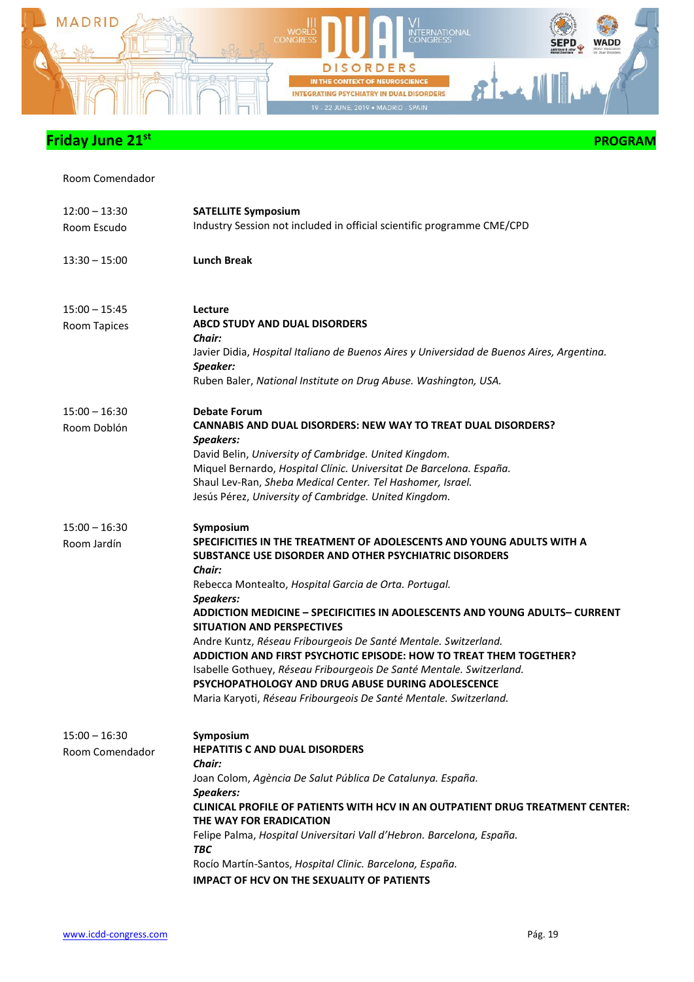

Room Comendador

| $12:00 - 13:30$<br>Room Escudo     | <b>SATELLITE Symposium</b><br>Industry Session not included in official scientific programme CME/CPD                                                                                                                                                                                                                                                                                                                                                                                                                                                                                                                                                                                               |
|------------------------------------|----------------------------------------------------------------------------------------------------------------------------------------------------------------------------------------------------------------------------------------------------------------------------------------------------------------------------------------------------------------------------------------------------------------------------------------------------------------------------------------------------------------------------------------------------------------------------------------------------------------------------------------------------------------------------------------------------|
| $13:30 - 15:00$                    | <b>Lunch Break</b>                                                                                                                                                                                                                                                                                                                                                                                                                                                                                                                                                                                                                                                                                 |
| $15:00 - 15:45$<br>Room Tapices    | Lecture<br><b>ABCD STUDY AND DUAL DISORDERS</b><br>Chair:<br>Javier Didia, Hospital Italiano de Buenos Aires y Universidad de Buenos Aires, Argentina.<br>Speaker:<br>Ruben Baler, National Institute on Drug Abuse. Washington, USA.                                                                                                                                                                                                                                                                                                                                                                                                                                                              |
| $15:00 - 16:30$<br>Room Doblón     | <b>Debate Forum</b><br><b>CANNABIS AND DUAL DISORDERS: NEW WAY TO TREAT DUAL DISORDERS?</b><br><b>Speakers:</b><br>David Belin, University of Cambridge. United Kingdom.<br>Miquel Bernardo, Hospital Clínic. Universitat De Barcelona. España.<br>Shaul Lev-Ran, Sheba Medical Center. Tel Hashomer, Israel.<br>Jesús Pérez, University of Cambridge. United Kingdom.                                                                                                                                                                                                                                                                                                                             |
| $15:00 - 16:30$<br>Room Jardín     | Symposium<br>SPECIFICITIES IN THE TREATMENT OF ADOLESCENTS AND YOUNG ADULTS WITH A<br>SUBSTANCE USE DISORDER AND OTHER PSYCHIATRIC DISORDERS<br>Chair:<br>Rebecca Montealto, Hospital Garcia de Orta. Portugal.<br>Speakers:<br>ADDICTION MEDICINE - SPECIFICITIES IN ADOLESCENTS AND YOUNG ADULTS- CURRENT<br><b>SITUATION AND PERSPECTIVES</b><br>Andre Kuntz, Réseau Fribourgeois De Santé Mentale. Switzerland.<br><b>ADDICTION AND FIRST PSYCHOTIC EPISODE: HOW TO TREAT THEM TOGETHER?</b><br>Isabelle Gothuey, Réseau Fribourgeois De Santé Mentale. Switzerland.<br>PSYCHOPATHOLOGY AND DRUG ABUSE DURING ADOLESCENCE<br>Maria Karyoti, Réseau Fribourgeois De Santé Mentale. Switzerland. |
| $15:00 - 16:30$<br>Room Comendador | Symposium<br><b>HEPATITIS C AND DUAL DISORDERS</b><br>Chair:<br>Joan Colom, Agència De Salut Pública De Catalunya. España.<br>Speakers:<br><b>CLINICAL PROFILE OF PATIENTS WITH HCV IN AN OUTPATIENT DRUG TREATMENT CENTER:</b><br>THE WAY FOR ERADICATION<br>Felipe Palma, Hospital Universitari Vall d'Hebron. Barcelona, España.<br>ТВС<br>Rocío Martín-Santos, Hospital Clinic. Barcelona, España.<br><b>IMPACT OF HCV ON THE SEXUALITY OF PATIENTS</b>                                                                                                                                                                                                                                        |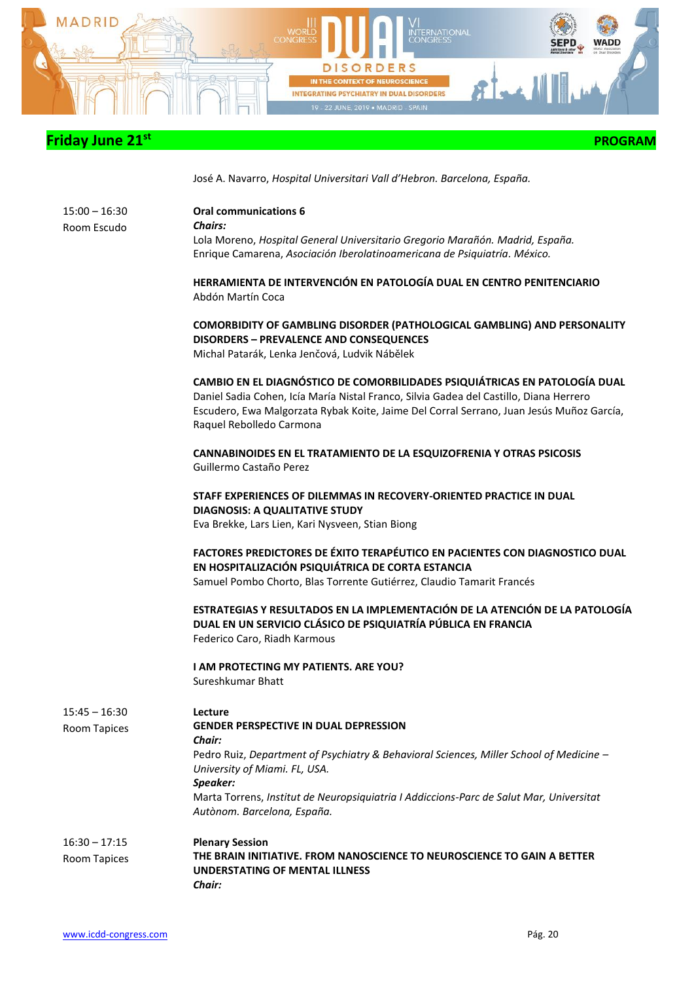

 **PROGRAM** 

José A. Navarro, *Hospital Universitari Vall d'Hebron. Barcelona, España.*

| $15:00 - 16:30$ |
|-----------------|
| Room Escudo     |

**Oral communications 6** *Chairs:* Lola Moreno, *Hospital General Universitario Gregorio Marañón. Madrid, España.* Enrique Camarena, *Asociación Iberolatinoamericana de Psiquiatría. México.*

**HERRAMIENTA DE INTERVENCIÓN EN PATOLOGÍA DUAL EN CENTRO PENITENCIARIO**  Abdón Martín Coca

**COMORBIDITY OF GAMBLING DISORDER (PATHOLOGICAL GAMBLING) AND PERSONALITY DISORDERS – PREVALENCE AND CONSEQUENCES** Michal Patarák, Lenka Jenčová, Ludvik Nábělek

**CAMBIO EN EL DIAGNÓSTICO DE COMORBILIDADES PSIQUIÁTRICAS EN PATOLOGÍA DUAL** Daniel Sadia Cohen, Icía María Nistal Franco, Silvia Gadea del Castillo, Diana Herrero Escudero, Ewa Malgorzata Rybak Koite, Jaime Del Corral Serrano, Juan Jesús Muñoz García, Raquel Rebolledo Carmona

**CANNABINOIDES EN EL TRATAMIENTO DE LA ESQUIZOFRENIA Y OTRAS PSICOSIS** Guillermo Castaño Perez

**STAFF EXPERIENCES OF DILEMMAS IN RECOVERY-ORIENTED PRACTICE IN DUAL DIAGNOSIS: A QUALITATIVE STUDY** Eva Brekke, Lars Lien, Kari Nysveen, Stian Biong

**FACTORES PREDICTORES DE ÉXITO TERAPÉUTICO EN PACIENTES CON DIAGNOSTICO DUAL EN HOSPITALIZACIÓN PSIQUIÁTRICA DE CORTA ESTANCIA** Samuel Pombo Chorto, Blas Torrente Gutiérrez, Claudio Tamarit Francés

**ESTRATEGIAS Y RESULTADOS EN LA IMPLEMENTACIÓN DE LA ATENCIÓN DE LA PATOLOGÍA DUAL EN UN SERVICIO CLÁSICO DE PSIQUIATRÍA PÚBLICA EN FRANCIA** Federico Caro, Riadh Karmous

**I AM PROTECTING MY PATIENTS. ARE YOU?** Sureshkumar Bhatt

| $15:45 - 16:30$ | Lecture                                                                                 |
|-----------------|-----------------------------------------------------------------------------------------|
| Room Tapices    | <b>GENDER PERSPECTIVE IN DUAL DEPRESSION</b>                                            |
|                 | Chair:                                                                                  |
|                 | Pedro Ruiz, Department of Psychiatry & Behavioral Sciences, Miller School of Medicine – |
|                 | University of Miami. FL, USA.                                                           |
|                 | Speaker:                                                                                |
|                 | Marta Torrens, Institut de Neuropsiquiatria I Addiccions-Parc de Salut Mar, Universitat |
|                 | Autònom. Barcelona, España.                                                             |
| $16:30 - 17:15$ | <b>Plenary Session</b>                                                                  |
| Room Tapices    | THE BRAIN INITIATIVE. FROM NANOSCIENCE TO NEUROSCIENCE TO GAIN A BETTER                 |
|                 | UNDERSTATING OF MENTAL ILLNESS                                                          |
|                 | Chair:                                                                                  |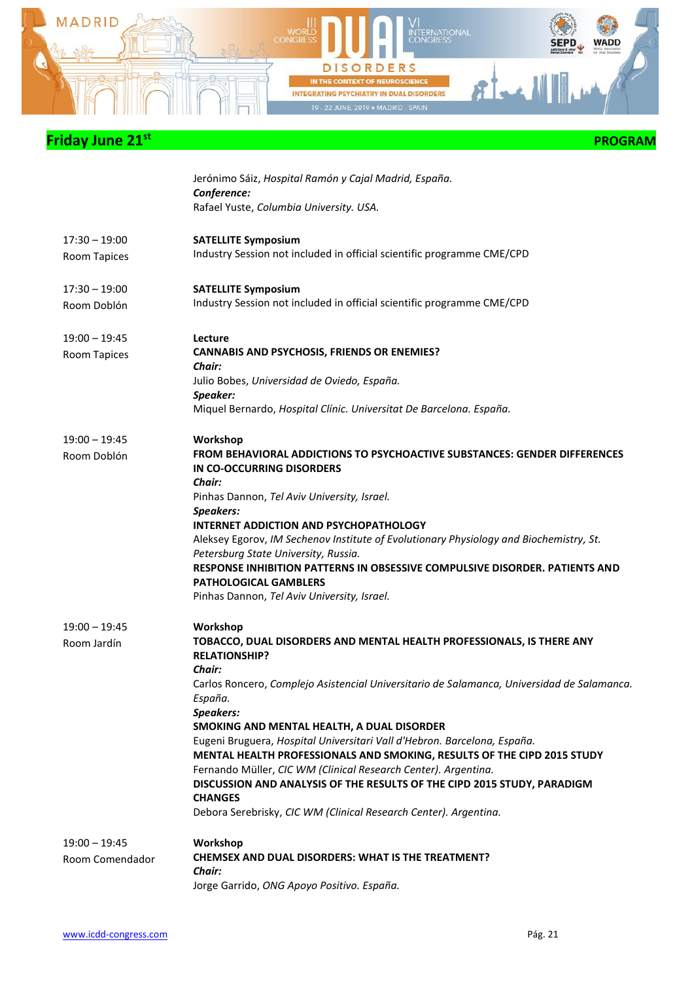

|                 | Jerónimo Sáiz, Hospital Ramón y Cajal Madrid, España.<br>Conference:                                                                                        |
|-----------------|-------------------------------------------------------------------------------------------------------------------------------------------------------------|
|                 | Rafael Yuste, Columbia University. USA.                                                                                                                     |
| $17:30 - 19:00$ | <b>SATELLITE Symposium</b>                                                                                                                                  |
| Room Tapices    | Industry Session not included in official scientific programme CME/CPD                                                                                      |
| $17:30 - 19:00$ | <b>SATELLITE Symposium</b>                                                                                                                                  |
| Room Doblón     | Industry Session not included in official scientific programme CME/CPD                                                                                      |
| $19:00 - 19:45$ | Lecture                                                                                                                                                     |
| Room Tapices    | <b>CANNABIS AND PSYCHOSIS, FRIENDS OR ENEMIES?</b><br><b>Chair:</b>                                                                                         |
|                 | Julio Bobes, Universidad de Oviedo, España.<br>Speaker:                                                                                                     |
|                 | Miquel Bernardo, Hospital Clínic. Universitat De Barcelona. España.                                                                                         |
| $19:00 - 19:45$ | Workshop                                                                                                                                                    |
| Room Doblón     | <b>FROM BEHAVIORAL ADDICTIONS TO PSYCHOACTIVE SUBSTANCES: GENDER DIFFERENCES</b><br>IN CO-OCCURRING DISORDERS<br>Chair:                                     |
|                 | Pinhas Dannon, Tel Aviv University, Israel.                                                                                                                 |
|                 | Speakers:<br><b>INTERNET ADDICTION AND PSYCHOPATHOLOGY</b>                                                                                                  |
|                 | Aleksey Egorov, IM Sechenov Institute of Evolutionary Physiology and Biochemistry, St.<br>Petersburg State University, Russia.                              |
|                 | RESPONSE INHIBITION PATTERNS IN OBSESSIVE COMPULSIVE DISORDER. PATIENTS AND<br><b>PATHOLOGICAL GAMBLERS</b>                                                 |
|                 | Pinhas Dannon, Tel Aviv University, Israel.                                                                                                                 |
| $19:00 - 19:45$ | Workshop                                                                                                                                                    |
| Room Jardín     | TOBACCO, DUAL DISORDERS AND MENTAL HEALTH PROFESSIONALS, IS THERE ANY<br><b>RELATIONSHIP?</b><br>Chair:                                                     |
|                 | Carlos Roncero, Complejo Asistencial Universitario de Salamanca, Universidad de Salamanca.<br>España.                                                       |
|                 | Speakers:<br>SMOKING AND MENTAL HEALTH, A DUAL DISORDER                                                                                                     |
|                 | Eugeni Bruguera, Hospital Universitari Vall d'Hebron. Barcelona, España.                                                                                    |
|                 | MENTAL HEALTH PROFESSIONALS AND SMOKING, RESULTS OF THE CIPD 2015 STUDY                                                                                     |
|                 | Fernando Müller, CIC WM (Clinical Research Center). Argentina.<br>DISCUSSION AND ANALYSIS OF THE RESULTS OF THE CIPD 2015 STUDY, PARADIGM<br><b>CHANGES</b> |
|                 | Debora Serebrisky, CIC WM (Clinical Research Center). Argentina.                                                                                            |
| $19:00 - 19:45$ | Workshop                                                                                                                                                    |
| Room Comendador | CHEMSEX AND DUAL DISORDERS: WHAT IS THE TREATMENT?<br>Chair:                                                                                                |
|                 | Jorge Garrido, ONG Apoyo Positivo. España.                                                                                                                  |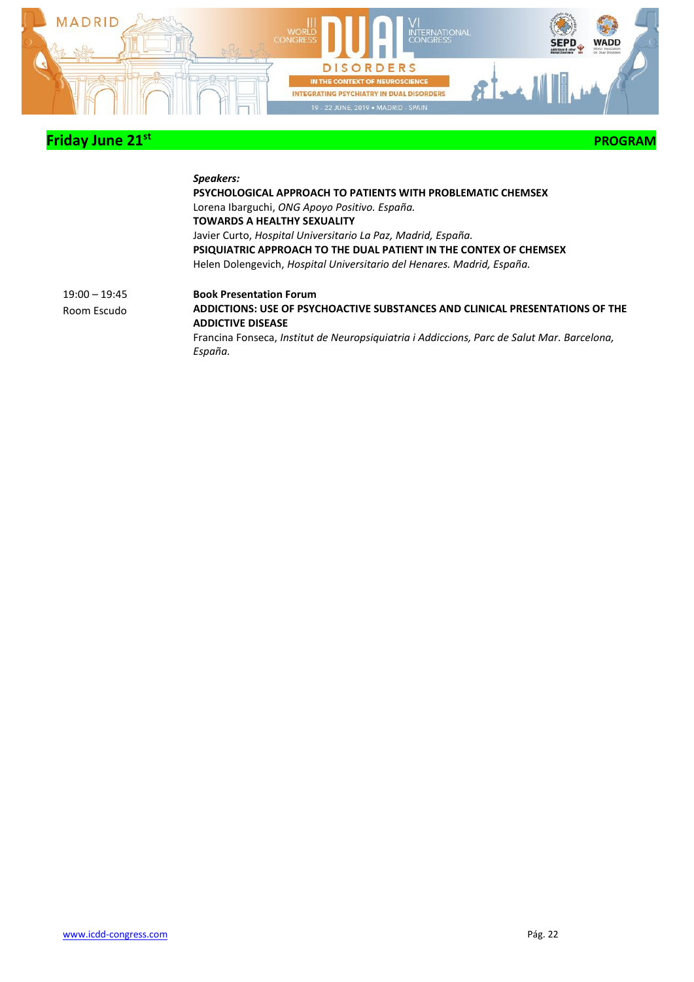

 **PROGRAM** 

#### *Speakers:* **PSYCHOLOGICAL APPROACH TO PATIENTS WITH PROBLEMATIC CHEMSEX** Lorena Ibarguchi, *ONG Apoyo Positivo. España.* **TOWARDS A HEALTHY SEXUALITY** Javier Curto, *Hospital Universitario La Paz, Madrid, España.* **PSIQUIATRIC APPROACH TO THE DUAL PATIENT IN THE CONTEX OF CHEMSEX** Helen Dolengevich, *Hospital Universitario del Henares. Madrid, España.* 19:00 – 19:45 Room Escudo **Book Presentation Forum ADDICTIONS: USE OF PSYCHOACTIVE SUBSTANCES AND CLINICAL PRESENTATIONS OF THE ADDICTIVE DISEASE** Francina Fonseca, *Institut de Neuropsiquiatria i Addiccions, Parc de Salut Mar. Barcelona, España.*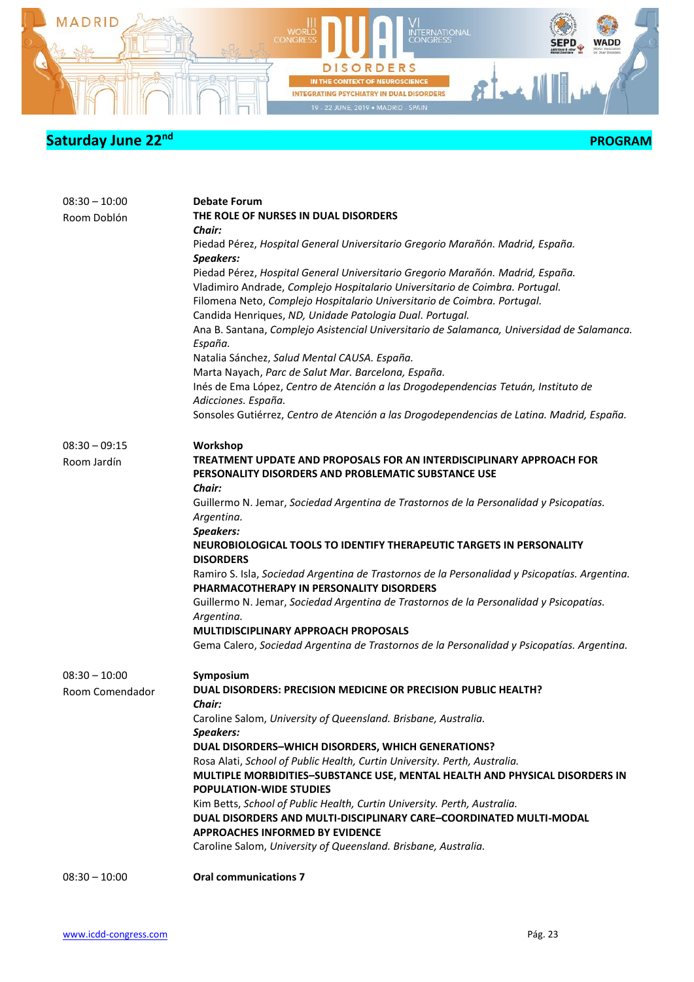

| $08:30 - 10:00$<br>Room Doblón | <b>Debate Forum</b><br>THE ROLE OF NURSES IN DUAL DISORDERS<br>Chair:<br>Piedad Pérez, Hospital General Universitario Gregorio Marañón. Madrid, España.<br>Speakers:<br>Piedad Pérez, Hospital General Universitario Gregorio Marañón. Madrid, España.<br>Vladimiro Andrade, Complejo Hospitalario Universitario de Coimbra. Portugal.<br>Filomena Neto, Complejo Hospitalario Universitario de Coimbra. Portugal.<br>Candida Henriques, ND, Unidade Patologia Dual. Portugal.<br>Ana B. Santana, Complejo Asistencial Universitario de Salamanca, Universidad de Salamanca.<br>España.<br>Natalia Sánchez, Salud Mental CAUSA. España.<br>Marta Nayach, Parc de Salut Mar. Barcelona, España.<br>Inés de Ema López, Centro de Atención a las Drogodependencias Tetuán, Instituto de<br>Adicciones. España.<br>Sonsoles Gutiérrez, Centro de Atención a las Drogodependencias de Latina. Madrid, España. |
|--------------------------------|----------------------------------------------------------------------------------------------------------------------------------------------------------------------------------------------------------------------------------------------------------------------------------------------------------------------------------------------------------------------------------------------------------------------------------------------------------------------------------------------------------------------------------------------------------------------------------------------------------------------------------------------------------------------------------------------------------------------------------------------------------------------------------------------------------------------------------------------------------------------------------------------------------|
| $08:30 - 09:15$                | Workshop                                                                                                                                                                                                                                                                                                                                                                                                                                                                                                                                                                                                                                                                                                                                                                                                                                                                                                 |
| Room Jardín                    | TREATMENT UPDATE AND PROPOSALS FOR AN INTERDISCIPLINARY APPROACH FOR<br>PERSONALITY DISORDERS AND PROBLEMATIC SUBSTANCE USE<br>Chair:                                                                                                                                                                                                                                                                                                                                                                                                                                                                                                                                                                                                                                                                                                                                                                    |
|                                | Guillermo N. Jemar, Sociedad Argentina de Trastornos de la Personalidad y Psicopatías.<br>Argentina.<br><b>Speakers:</b>                                                                                                                                                                                                                                                                                                                                                                                                                                                                                                                                                                                                                                                                                                                                                                                 |
|                                | NEUROBIOLOGICAL TOOLS TO IDENTIFY THERAPEUTIC TARGETS IN PERSONALITY<br><b>DISORDERS</b>                                                                                                                                                                                                                                                                                                                                                                                                                                                                                                                                                                                                                                                                                                                                                                                                                 |
|                                | Ramiro S. Isla, Sociedad Argentina de Trastornos de la Personalidad y Psicopatías. Argentina.<br>PHARMACOTHERAPY IN PERSONALITY DISORDERS                                                                                                                                                                                                                                                                                                                                                                                                                                                                                                                                                                                                                                                                                                                                                                |
|                                | Guillermo N. Jemar, Sociedad Argentina de Trastornos de la Personalidad y Psicopatías.<br>Argentina.                                                                                                                                                                                                                                                                                                                                                                                                                                                                                                                                                                                                                                                                                                                                                                                                     |
|                                | <b>MULTIDISCIPLINARY APPROACH PROPOSALS</b>                                                                                                                                                                                                                                                                                                                                                                                                                                                                                                                                                                                                                                                                                                                                                                                                                                                              |
|                                | Gema Calero, Sociedad Argentina de Trastornos de la Personalidad y Psicopatías. Argentina.                                                                                                                                                                                                                                                                                                                                                                                                                                                                                                                                                                                                                                                                                                                                                                                                               |
| $08:30 - 10:00$                | Symposium                                                                                                                                                                                                                                                                                                                                                                                                                                                                                                                                                                                                                                                                                                                                                                                                                                                                                                |
| Room Comendador                | DUAL DISORDERS: PRECISION MEDICINE OR PRECISION PUBLIC HEALTH?                                                                                                                                                                                                                                                                                                                                                                                                                                                                                                                                                                                                                                                                                                                                                                                                                                           |
|                                | Chair:<br>Caroline Salom, University of Queensland. Brisbane, Australia.                                                                                                                                                                                                                                                                                                                                                                                                                                                                                                                                                                                                                                                                                                                                                                                                                                 |
|                                | Speakers:                                                                                                                                                                                                                                                                                                                                                                                                                                                                                                                                                                                                                                                                                                                                                                                                                                                                                                |
|                                | DUAL DISORDERS-WHICH DISORDERS, WHICH GENERATIONS?                                                                                                                                                                                                                                                                                                                                                                                                                                                                                                                                                                                                                                                                                                                                                                                                                                                       |
|                                | Rosa Alati, School of Public Health, Curtin University. Perth, Australia.<br>MULTIPLE MORBIDITIES-SUBSTANCE USE, MENTAL HEALTH AND PHYSICAL DISORDERS IN                                                                                                                                                                                                                                                                                                                                                                                                                                                                                                                                                                                                                                                                                                                                                 |
|                                | <b>POPULATION-WIDE STUDIES</b>                                                                                                                                                                                                                                                                                                                                                                                                                                                                                                                                                                                                                                                                                                                                                                                                                                                                           |
|                                | Kim Betts, School of Public Health, Curtin University. Perth, Australia.                                                                                                                                                                                                                                                                                                                                                                                                                                                                                                                                                                                                                                                                                                                                                                                                                                 |
|                                | DUAL DISORDERS AND MULTI-DISCIPLINARY CARE-COORDINATED MULTI-MODAL                                                                                                                                                                                                                                                                                                                                                                                                                                                                                                                                                                                                                                                                                                                                                                                                                                       |
|                                | <b>APPROACHES INFORMED BY EVIDENCE</b><br>Caroline Salom, University of Queensland. Brisbane, Australia.                                                                                                                                                                                                                                                                                                                                                                                                                                                                                                                                                                                                                                                                                                                                                                                                 |
|                                |                                                                                                                                                                                                                                                                                                                                                                                                                                                                                                                                                                                                                                                                                                                                                                                                                                                                                                          |
| $08:30 - 10:00$                | <b>Oral communications 7</b>                                                                                                                                                                                                                                                                                                                                                                                                                                                                                                                                                                                                                                                                                                                                                                                                                                                                             |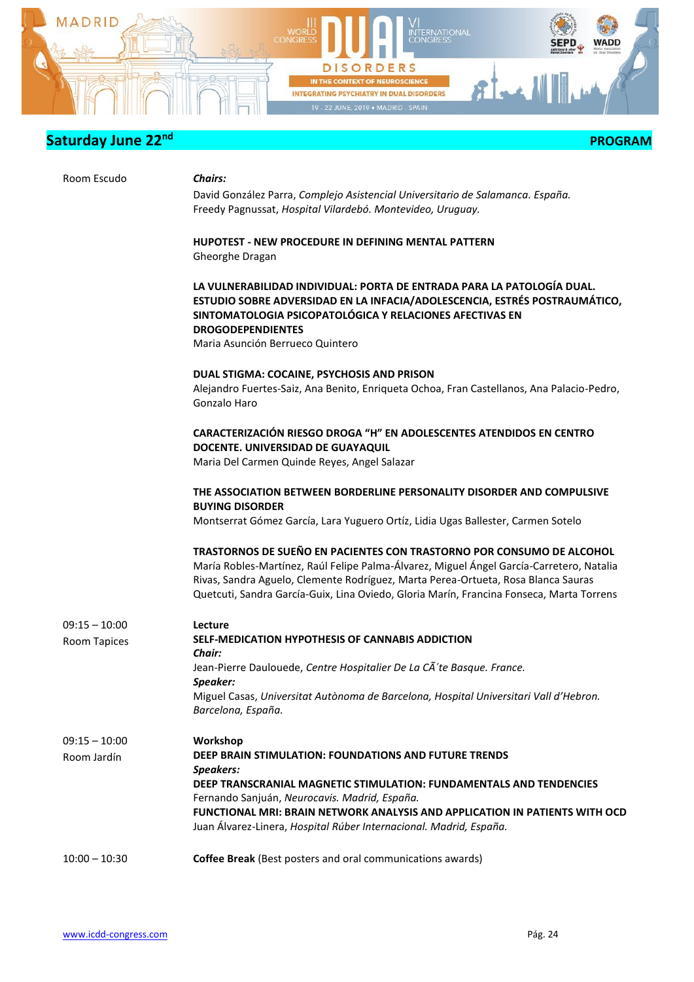

|  | <b>PROGRAM</b> |
|--|----------------|
|--|----------------|

| Room Escudo                    | <b>Chairs:</b>                                                                                                                                                                                                                                                                                                                                     |
|--------------------------------|----------------------------------------------------------------------------------------------------------------------------------------------------------------------------------------------------------------------------------------------------------------------------------------------------------------------------------------------------|
|                                | David González Parra, Complejo Asistencial Universitario de Salamanca. España.<br>Freedy Pagnussat, Hospital Vilardebó. Montevideo, Uruguay.                                                                                                                                                                                                       |
|                                |                                                                                                                                                                                                                                                                                                                                                    |
|                                | <b>HUPOTEST - NEW PROCEDURE IN DEFINING MENTAL PATTERN</b>                                                                                                                                                                                                                                                                                         |
|                                | Gheorghe Dragan                                                                                                                                                                                                                                                                                                                                    |
|                                | LA VULNERABILIDAD INDIVIDUAL: PORTA DE ENTRADA PARA LA PATOLOGÍA DUAL.<br>ESTUDIO SOBRE ADVERSIDAD EN LA INFACIA/ADOLESCENCIA, ESTRÉS POSTRAUMÁTICO,<br>SINTOMATOLOGIA PSICOPATOLÓGICA Y RELACIONES AFECTIVAS EN<br><b>DROGODEPENDIENTES</b>                                                                                                       |
|                                | Maria Asunción Berrueco Quintero                                                                                                                                                                                                                                                                                                                   |
|                                | DUAL STIGMA: COCAINE, PSYCHOSIS AND PRISON                                                                                                                                                                                                                                                                                                         |
|                                | Alejandro Fuertes-Saiz, Ana Benito, Enriqueta Ochoa, Fran Castellanos, Ana Palacio-Pedro,<br>Gonzalo Haro                                                                                                                                                                                                                                          |
|                                | <b>CARACTERIZACIÓN RIESGO DROGA "H" EN ADOLESCENTES ATENDIDOS EN CENTRO</b><br>DOCENTE. UNIVERSIDAD DE GUAYAQUIL<br>Maria Del Carmen Quinde Reyes, Angel Salazar                                                                                                                                                                                   |
|                                | THE ASSOCIATION BETWEEN BORDERLINE PERSONALITY DISORDER AND COMPULSIVE                                                                                                                                                                                                                                                                             |
|                                | <b>BUYING DISORDER</b><br>Montserrat Gómez García, Lara Yuguero Ortíz, Lidia Ugas Ballester, Carmen Sotelo                                                                                                                                                                                                                                         |
|                                | TRASTORNOS DE SUEÑO EN PACIENTES CON TRASTORNO POR CONSUMO DE ALCOHOL<br>María Robles-Martínez, Raúl Felipe Palma-Álvarez, Miguel Ángel García-Carretero, Natalia<br>Rivas, Sandra Aguelo, Clemente Rodríguez, Marta Perea-Ortueta, Rosa Blanca Sauras<br>Quetcuti, Sandra García-Guix, Lina Oviedo, Gloria Marín, Francina Fonseca, Marta Torrens |
| $09:15 - 10:00$                | Lecture                                                                                                                                                                                                                                                                                                                                            |
| Room Tapices                   | SELF-MEDICATION HYPOTHESIS OF CANNABIS ADDICTION<br>Chair:                                                                                                                                                                                                                                                                                         |
|                                | Jean-Pierre Daulouede, Centre Hospitalier De La CÃ'te Basque. France.                                                                                                                                                                                                                                                                              |
|                                | Speaker:<br>Miguel Casas, Universitat Autònoma de Barcelona, Hospital Universitari Vall d'Hebron.<br>Barcelona, España.                                                                                                                                                                                                                            |
| $09:15 - 10:00$<br>Room Jardín | Workshop<br>DEEP BRAIN STIMULATION: FOUNDATIONS AND FUTURE TRENDS<br>Speakers:                                                                                                                                                                                                                                                                     |
|                                | DEEP TRANSCRANIAL MAGNETIC STIMULATION: FUNDAMENTALS AND TENDENCIES                                                                                                                                                                                                                                                                                |
|                                | Fernando Sanjuán, Neurocavis. Madrid, España.<br>FUNCTIONAL MRI: BRAIN NETWORK ANALYSIS AND APPLICATION IN PATIENTS WITH OCD                                                                                                                                                                                                                       |
|                                | Juan Álvarez-Linera, Hospital Rúber Internacional. Madrid, España.                                                                                                                                                                                                                                                                                 |
| $10:00 - 10:30$                | Coffee Break (Best posters and oral communications awards)                                                                                                                                                                                                                                                                                         |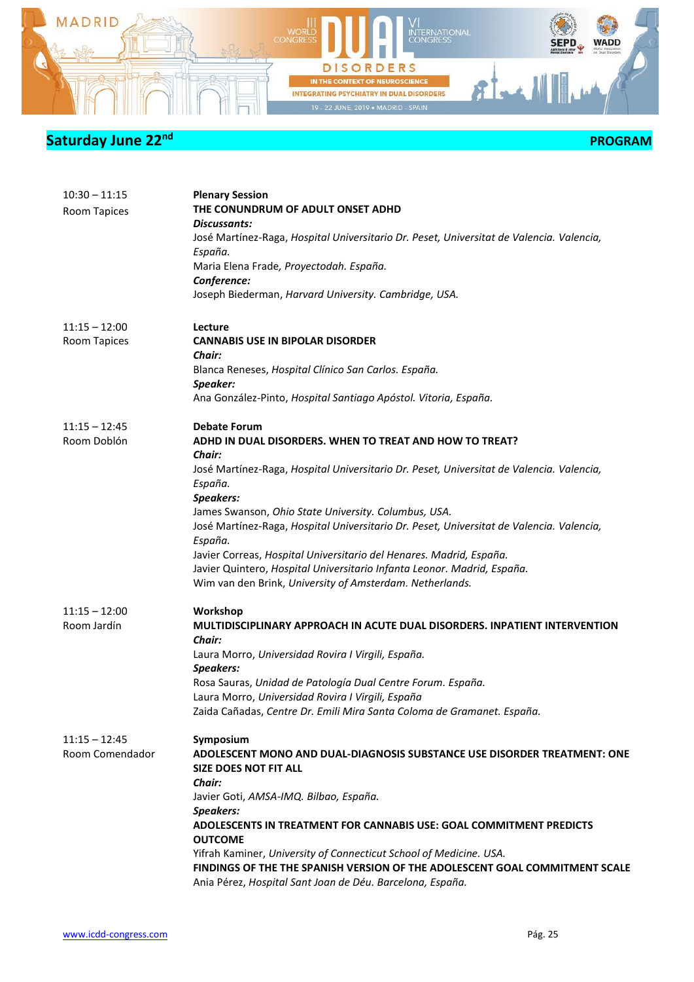

| $10:30 - 11:15$<br>Room Tapices    | <b>Plenary Session</b><br>THE CONUNDRUM OF ADULT ONSET ADHD<br><b>Discussants:</b><br>José Martínez-Raga, Hospital Universitario Dr. Peset, Universitat de Valencia. Valencia,<br>España.<br>Maria Elena Frade, Proyectodah. España.<br>Conference:<br>Joseph Biederman, Harvard University. Cambridge, USA.                                                                                                                                                                                                                                                                                     |
|------------------------------------|--------------------------------------------------------------------------------------------------------------------------------------------------------------------------------------------------------------------------------------------------------------------------------------------------------------------------------------------------------------------------------------------------------------------------------------------------------------------------------------------------------------------------------------------------------------------------------------------------|
| $11:15 - 12:00$<br>Room Tapices    | Lecture<br><b>CANNABIS USE IN BIPOLAR DISORDER</b><br>Chair:<br>Blanca Reneses, Hospital Clínico San Carlos. España.<br>Speaker:<br>Ana González-Pinto, Hospital Santiago Apóstol. Vitoria, España.                                                                                                                                                                                                                                                                                                                                                                                              |
| $11:15 - 12:45$<br>Room Doblón     | <b>Debate Forum</b><br>ADHD IN DUAL DISORDERS. WHEN TO TREAT AND HOW TO TREAT?<br><b>Chair:</b><br>José Martínez-Raga, Hospital Universitario Dr. Peset, Universitat de Valencia. Valencia,<br>España.<br>Speakers:<br>James Swanson, Ohio State University. Columbus, USA.<br>José Martínez-Raga, Hospital Universitario Dr. Peset, Universitat de Valencia. Valencia,<br>España.<br>Javier Correas, Hospital Universitario del Henares. Madrid, España.<br>Javier Quintero, Hospital Universitario Infanta Leonor. Madrid, España.<br>Wim van den Brink, University of Amsterdam. Netherlands. |
| $11:15 - 12:00$<br>Room Jardín     | Workshop<br>MULTIDISCIPLINARY APPROACH IN ACUTE DUAL DISORDERS. INPATIENT INTERVENTION<br>Chair:<br>Laura Morro, Universidad Rovira I Virgili, España.<br>Speakers:<br>Rosa Sauras, Unidad de Patología Dual Centre Forum. España.<br>Laura Morro, Universidad Rovira I Virgili, España<br>Zaida Cañadas, Centre Dr. Emili Mira Santa Coloma de Gramanet. España.                                                                                                                                                                                                                                |
| $11:15 - 12:45$<br>Room Comendador | Symposium<br>ADOLESCENT MONO AND DUAL-DIAGNOSIS SUBSTANCE USE DISORDER TREATMENT: ONE<br><b>SIZE DOES NOT FIT ALL</b><br>Chair:<br>Javier Goti, AMSA-IMQ. Bilbao, España.<br>Speakers:<br>ADOLESCENTS IN TREATMENT FOR CANNABIS USE: GOAL COMMITMENT PREDICTS<br><b>OUTCOME</b><br>Yifrah Kaminer, University of Connecticut School of Medicine. USA.<br>FINDINGS OF THE THE SPANISH VERSION OF THE ADOLESCENT GOAL COMMITMENT SCALE<br>Ania Pérez, Hospital Sant Joan de Déu. Barcelona, España.                                                                                                |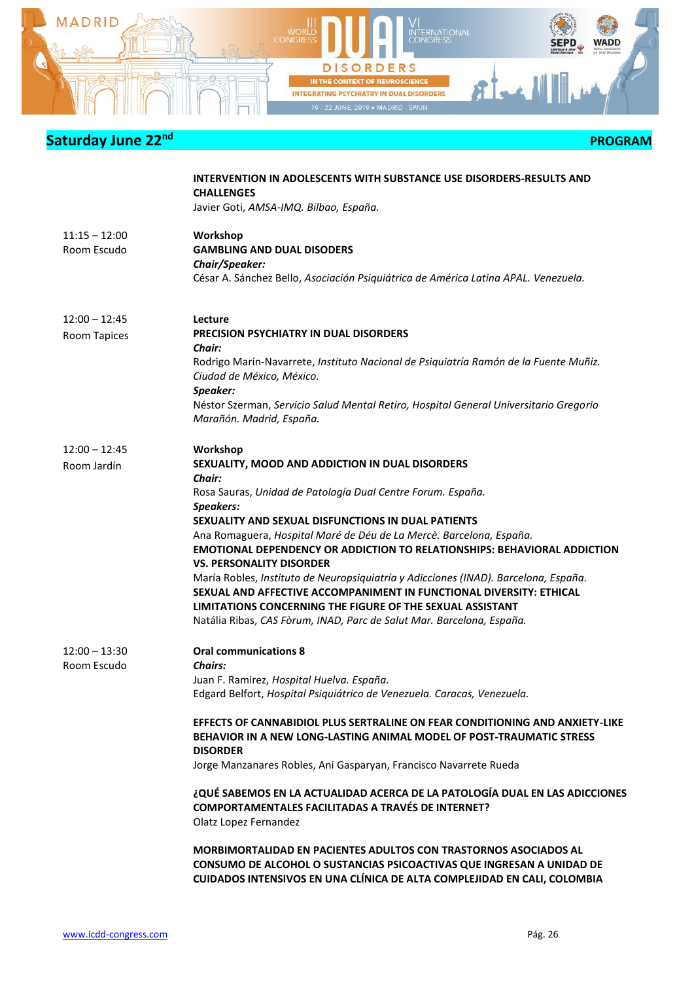

| <b>PROGRAM</b> |
|----------------|
|----------------|

|                                 | INTERVENTION IN ADOLESCENTS WITH SUBSTANCE USE DISORDERS-RESULTS AND<br><b>CHALLENGES</b><br>Javier Goti, AMSA-IMQ. Bilbao, España.                                                                                                                                                                                                    |
|---------------------------------|----------------------------------------------------------------------------------------------------------------------------------------------------------------------------------------------------------------------------------------------------------------------------------------------------------------------------------------|
| $11:15 - 12:00$<br>Room Escudo  | Workshop<br><b>GAMBLING AND DUAL DISODERS</b><br>Chair/Speaker:<br>César A. Sánchez Bello, Asociación Psiquiátrica de América Latina APAL. Venezuela.                                                                                                                                                                                  |
| $12:00 - 12:45$<br>Room Tapices | Lecture<br><b>PRECISION PSYCHIATRY IN DUAL DISORDERS</b><br><b>Chair:</b><br>Rodrigo Marín-Navarrete, Instituto Nacional de Psiquiatría Ramón de la Fuente Muñiz.                                                                                                                                                                      |
|                                 | Ciudad de México, México.<br>Speaker:<br>Néstor Szerman, Servicio Salud Mental Retiro, Hospital General Universitario Gregorio<br>Marañón. Madrid, España.                                                                                                                                                                             |
| $12:00 - 12:45$<br>Room Jardín  | Workshop<br>SEXUALITY, MOOD AND ADDICTION IN DUAL DISORDERS<br>Chair:<br>Rosa Sauras, Unidad de Patología Dual Centre Forum. España.<br><b>Speakers:</b>                                                                                                                                                                               |
|                                 | SEXUALITY AND SEXUAL DISFUNCTIONS IN DUAL PATIENTS<br>Ana Romaguera, Hospital Maré de Déu de La Mercè. Barcelona, España.<br><b>EMOTIONAL DEPENDENCY OR ADDICTION TO RELATIONSHIPS: BEHAVIORAL ADDICTION</b><br><b>VS. PERSONALITY DISORDER</b><br>María Robles, Instituto de Neuropsiquiatría y Adicciones (INAD). Barcelona, España. |
|                                 | SEXUAL AND AFFECTIVE ACCOMPANIMENT IN FUNCTIONAL DIVERSITY: ETHICAL<br>LIMITATIONS CONCERNING THE FIGURE OF THE SEXUAL ASSISTANT<br>Natália Ribas, CAS Fòrum, INAD, Parc de Salut Mar. Barcelona, España.                                                                                                                              |
| $12:00 - 13:30$<br>Room Escudo  | <b>Oral communications 8</b><br><b>Chairs:</b><br>Juan F. Ramirez, Hospital Huelva. España.<br>Edgard Belfort, Hospital Psiquiátrico de Venezuela. Caracas, Venezuela.                                                                                                                                                                 |
|                                 | EFFECTS OF CANNABIDIOL PLUS SERTRALINE ON FEAR CONDITIONING AND ANXIETY-LIKE<br>BEHAVIOR IN A NEW LONG-LASTING ANIMAL MODEL OF POST-TRAUMATIC STRESS<br><b>DISORDER</b><br>Jorge Manzanares Robles, Ani Gasparyan, Francisco Navarrete Rueda                                                                                           |
|                                 | ¿QUÉ SABEMOS EN LA ACTUALIDAD ACERCA DE LA PATOLOGÍA DUAL EN LAS ADICCIONES<br><b>COMPORTAMENTALES FACILITADAS A TRAVÉS DE INTERNET?</b><br>Olatz Lopez Fernandez                                                                                                                                                                      |
|                                 | <b>MORBIMORTALIDAD EN PACIENTES ADULTOS CON TRASTORNOS ASOCIADOS AL</b><br>CONSUMO DE ALCOHOL O SUSTANCIAS PSICOACTIVAS QUE INGRESAN A UNIDAD DE<br>CUIDADOS INTENSIVOS EN UNA CLÍNICA DE ALTA COMPLEJIDAD EN CALI, COLOMBIA                                                                                                           |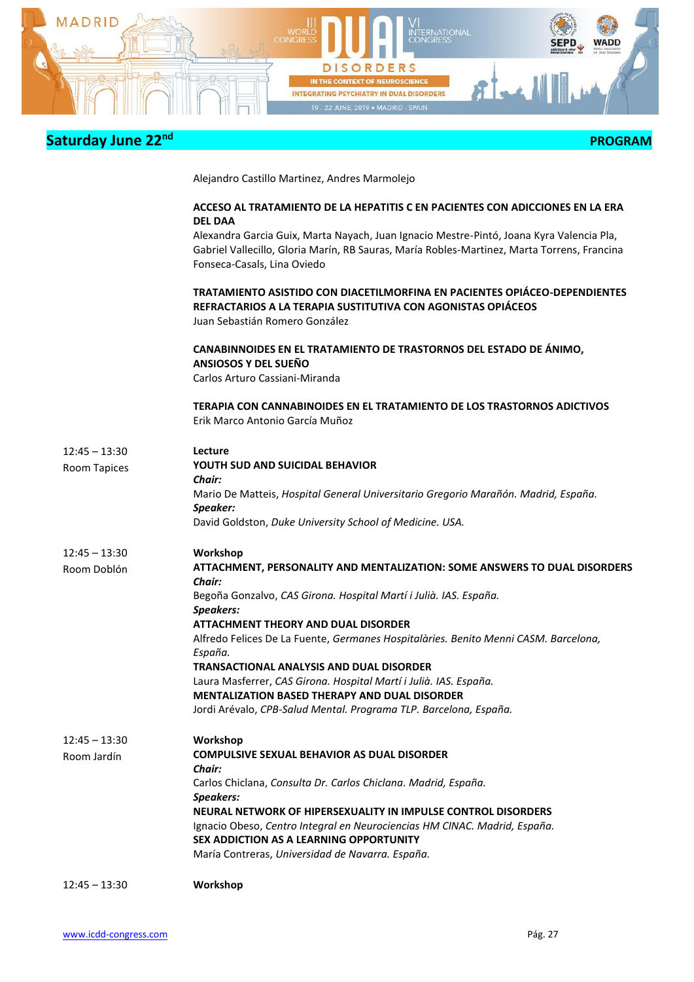

| Saturday June 22nd | <b>PROGRAM</b>                                                                                                                                                                                                                           |
|--------------------|------------------------------------------------------------------------------------------------------------------------------------------------------------------------------------------------------------------------------------------|
|                    | Alejandro Castillo Martinez, Andres Marmolejo                                                                                                                                                                                            |
|                    | ACCESO AL TRATAMIENTO DE LA HEPATITIS C EN PACIENTES CON ADICCIONES EN LA ERA                                                                                                                                                            |
|                    | <b>DEL DAA</b><br>Alexandra Garcia Guix, Marta Nayach, Juan Ignacio Mestre-Pintó, Joana Kyra Valencia Pla,<br>Gabriel Vallecillo, Gloria Marín, RB Sauras, María Robles-Martinez, Marta Torrens, Francina<br>Fonseca-Casals, Lina Oviedo |
|                    | TRATAMIENTO ASISTIDO CON DIACETILMORFINA EN PACIENTES OPIÁCEO-DEPENDIENTES<br>REFRACTARIOS A LA TERAPIA SUSTITUTIVA CON AGONISTAS OPIÁCEOS<br>Juan Sebastián Romero González                                                             |
|                    | CANABINNOIDES EN EL TRATAMIENTO DE TRASTORNOS DEL ESTADO DE ÁNIMO,<br>ANSIOSOS Y DEL SUEÑO<br>Carlos Arturo Cassiani-Miranda                                                                                                             |
|                    | TERAPIA CON CANNABINOIDES EN EL TRATAMIENTO DE LOS TRASTORNOS ADICTIVOS<br>Erik Marco Antonio García Muñoz                                                                                                                               |
| $12:45 - 13:30$    | Lecture                                                                                                                                                                                                                                  |
| Room Tapices       | <b>YOUTH SUD AND SUICIDAL BEHAVIOR</b><br>Chair:                                                                                                                                                                                         |
|                    | Mario De Matteis, Hospital General Universitario Gregorio Marañón. Madrid, España.                                                                                                                                                       |
|                    | Speaker:                                                                                                                                                                                                                                 |
|                    | David Goldston, Duke University School of Medicine. USA.                                                                                                                                                                                 |
| $12:45 - 13:30$    | Workshop                                                                                                                                                                                                                                 |
| Room Doblón        | ATTACHMENT, PERSONALITY AND MENTALIZATION: SOME ANSWERS TO DUAL DISORDERS<br>Chair:                                                                                                                                                      |
|                    | Begoña Gonzalvo, CAS Girona. Hospital Martí i Julià. IAS. España.                                                                                                                                                                        |
|                    | Speakers:                                                                                                                                                                                                                                |
|                    | ATTACHMENT THEORY AND DUAL DISORDER                                                                                                                                                                                                      |
|                    | Alfredo Felices De La Fuente, Germanes Hospitalàries. Benito Menni CASM. Barcelona,<br>España.                                                                                                                                           |
|                    | TRANSACTIONAL ANALYSIS AND DUAL DISORDER                                                                                                                                                                                                 |
|                    | Laura Masferrer, CAS Girona. Hospital Martí i Julià. IAS. España.                                                                                                                                                                        |
|                    | <b>MENTALIZATION BASED THERAPY AND DUAL DISORDER</b>                                                                                                                                                                                     |
|                    | Jordi Arévalo, CPB-Salud Mental. Programa TLP. Barcelona, España.                                                                                                                                                                        |
| $12:45 - 13:30$    | Workshop                                                                                                                                                                                                                                 |
| Room Jardín        | <b>COMPULSIVE SEXUAL BEHAVIOR AS DUAL DISORDER</b>                                                                                                                                                                                       |
|                    | Chair:                                                                                                                                                                                                                                   |
|                    | Carlos Chiclana, Consulta Dr. Carlos Chiclana. Madrid, España.<br>Speakers:                                                                                                                                                              |
|                    | NEURAL NETWORK OF HIPERSEXUALITY IN IMPULSE CONTROL DISORDERS                                                                                                                                                                            |
|                    | Ignacio Obeso, Centro Integral en Neurociencias HM CINAC. Madrid, España.                                                                                                                                                                |
|                    | SEX ADDICTION AS A LEARNING OPPORTUNITY                                                                                                                                                                                                  |
|                    | María Contreras, Universidad de Navarra. España.                                                                                                                                                                                         |
| $12:45 - 13:30$    | Workshop                                                                                                                                                                                                                                 |